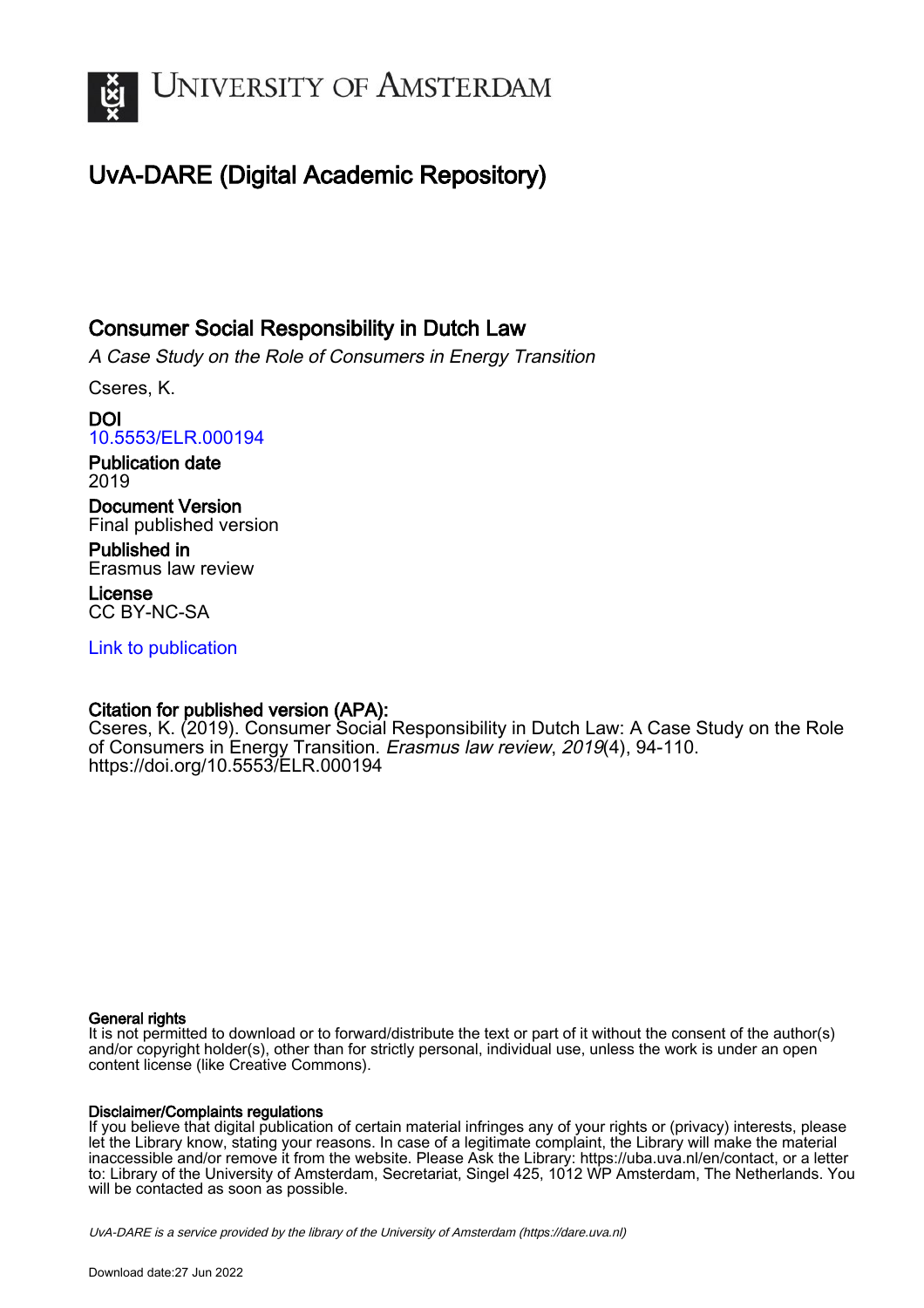

# UvA-DARE (Digital Academic Repository)

### Consumer Social Responsibility in Dutch Law

A Case Study on the Role of Consumers in Energy Transition

Cseres, K.

DOI [10.5553/ELR.000194](https://doi.org/10.5553/ELR.000194)

Publication date 2019

Document Version Final published version

Published in Erasmus law review

License CC BY-NC-SA

[Link to publication](https://dare.uva.nl/personal/pure/en/publications/consumer-social-responsibility-in-dutch-law(4bab2db5-97fe-4c6b-a887-b57b6d7f3c6e).html)

### Citation for published version (APA):

Cseres, K. (2019). Consumer Social Responsibility in Dutch Law: A Case Study on the Role of Consumers in Energy Transition. Erasmus law review, 2019(4), 94-110. <https://doi.org/10.5553/ELR.000194>

#### General rights

It is not permitted to download or to forward/distribute the text or part of it without the consent of the author(s) and/or copyright holder(s), other than for strictly personal, individual use, unless the work is under an open content license (like Creative Commons).

#### Disclaimer/Complaints regulations

If you believe that digital publication of certain material infringes any of your rights or (privacy) interests, please let the Library know, stating your reasons. In case of a legitimate complaint, the Library will make the material inaccessible and/or remove it from the website. Please Ask the Library: https://uba.uva.nl/en/contact, or a letter to: Library of the University of Amsterdam, Secretariat, Singel 425, 1012 WP Amsterdam, The Netherlands. You will be contacted as soon as possible.

UvA-DARE is a service provided by the library of the University of Amsterdam (http*s*://dare.uva.nl)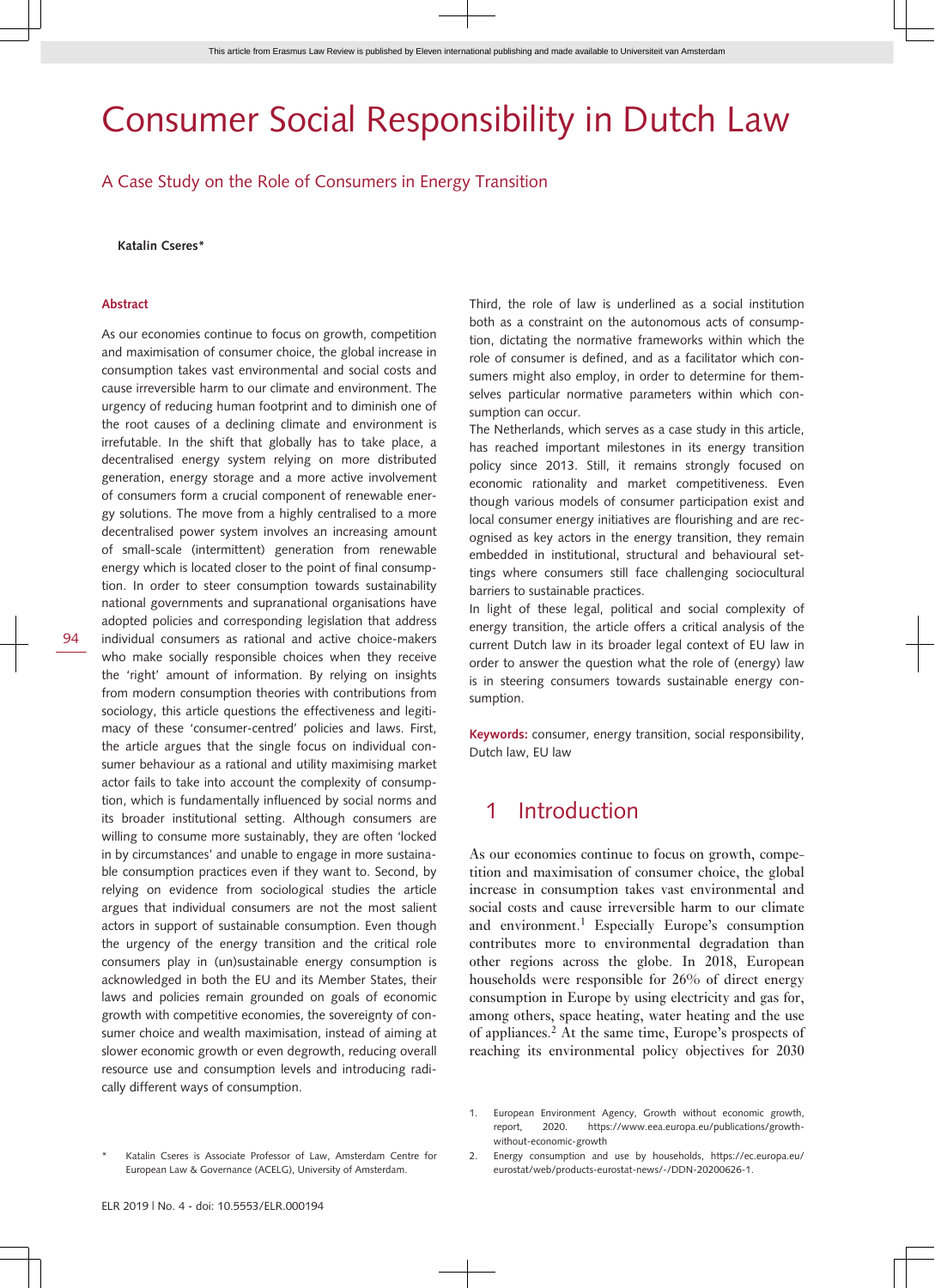# Consumer Social Responsibility in Dutch Law

A Case Study on the Role of Consumers in Energy Transition

**Katalin Cseres\***

#### **Abstract**

As our economies continue to focus on growth, competition and maximisation of consumer choice, the global increase in consumption takes vast environmental and social costs and cause irreversible harm to our climate and environment. The urgency of reducing human footprint and to diminish one of the root causes of a declining climate and environment is irrefutable. In the shift that globally has to take place, a decentralised energy system relying on more distributed generation, energy storage and a more active involvement of consumers form a crucial component of renewable energy solutions. The move from a highly centralised to a more decentralised power system involves an increasing amount of small-scale (intermittent) generation from renewable energy which is located closer to the point of final consumption. In order to steer consumption towards sustainability national governments and supranational organisations have adopted policies and corresponding legislation that address individual consumers as rational and active choice-makers who make socially responsible choices when they receive the 'right' amount of information. By relying on insights from modern consumption theories with contributions from sociology, this article questions the effectiveness and legitimacy of these 'consumer-centred' policies and laws. First, the article argues that the single focus on individual consumer behaviour as a rational and utility maximising market actor fails to take into account the complexity of consumption, which is fundamentally influenced by social norms and its broader institutional setting. Although consumers are willing to consume more sustainably, they are often 'locked in by circumstances' and unable to engage in more sustainable consumption practices even if they want to. Second, by relying on evidence from sociological studies the article argues that individual consumers are not the most salient actors in support of sustainable consumption. Even though the urgency of the energy transition and the critical role consumers play in (un)sustainable energy consumption is acknowledged in both the EU and its Member States, their laws and policies remain grounded on goals of economic growth with competitive economies, the sovereignty of consumer choice and wealth maximisation, instead of aiming at slower economic growth or even degrowth, reducing overall resource use and consumption levels and introducing radically different ways of consumption.

Third, the role of law is underlined as a social institution both as a constraint on the autonomous acts of consumption, dictating the normative frameworks within which the role of consumer is defined, and as a facilitator which consumers might also employ, in order to determine for themselves particular normative parameters within which consumption can occur.

The Netherlands, which serves as a case study in this article, has reached important milestones in its energy transition policy since 2013. Still, it remains strongly focused on economic rationality and market competitiveness. Even though various models of consumer participation exist and local consumer energy initiatives are flourishing and are recognised as key actors in the energy transition, they remain embedded in institutional, structural and behavioural settings where consumers still face challenging sociocultural barriers to sustainable practices.

In light of these legal, political and social complexity of energy transition, the article offers a critical analysis of the current Dutch law in its broader legal context of EU law in order to answer the question what the role of (energy) law is in steering consumers towards sustainable energy consumption.

**Keywords:** consumer, energy transition, social responsibility, Dutch law, EU law

### 1 Introduction

As our economies continue to focus on growth, competition and maximisation of consumer choice, the global increase in consumption takes vast environmental and social costs and cause irreversible harm to our climate and environment.<sup>1</sup> Especially Europe's consumption contributes more to environmental degradation than other regions across the globe. In 2018, European households were responsible for 26% of direct energy consumption in Europe by using electricity and gas for, among others, space heating, water heating and the use of appliances.<sup>2</sup> At the same time, Europe's prospects of reaching its environmental policy objectives for 2030

 $94$ 

<sup>1.</sup> European Environment Agency, Growth without economic growth, report, 2020. [https://www.eea.europa.eu/publications/growth](https://www.eea.europa.eu/publications/growth-without-economic-growth)[without-economic-growth](https://www.eea.europa.eu/publications/growth-without-economic-growth)

Katalin Cseres is Associate Professor of Law, Amsterdam Centre for European Law & Governance (ACELG), University of Amsterdam.

<sup>2.</sup> Energy consumption and use by households, [https://ec.europa.eu/](https://ec.europa.eu/eurostat/web/products-eurostat-news/-/DDN-20200626-1) [eurostat/web/products-eurostat-news/-/DDN-20200626-1.](https://ec.europa.eu/eurostat/web/products-eurostat-news/-/DDN-20200626-1)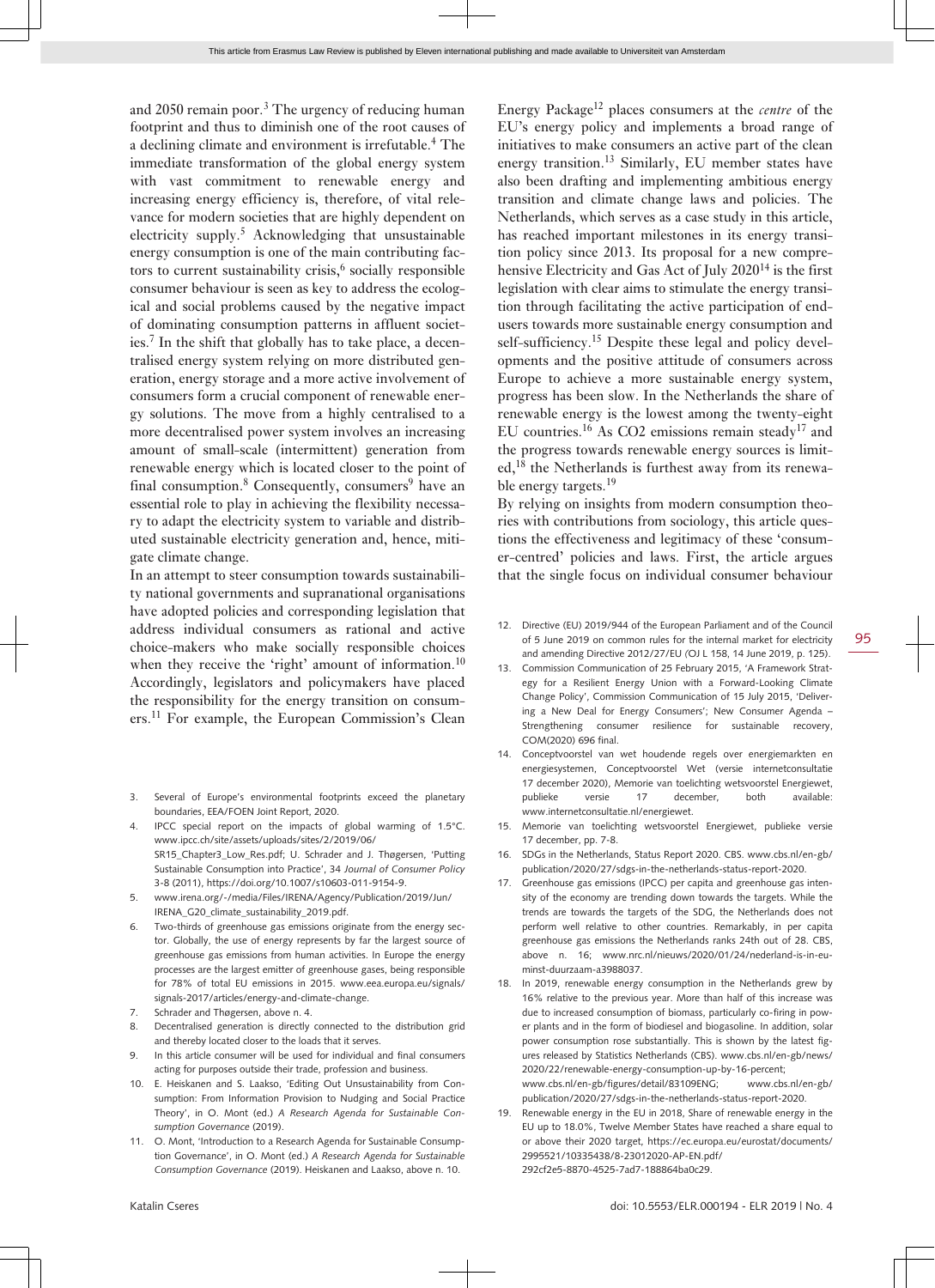and 2050 remain poor.<sup>3</sup> The urgency of reducing human footprint and thus to diminish one of the root causes of a declining climate and environment is irrefutable.<sup>4</sup> The immediate transformation of the global energy system with vast commitment to renewable energy and increasing energy efficiency is, therefore, of vital relevance for modern societies that are highly dependent on electricity supply.<sup>5</sup> Acknowledging that unsustainable energy consumption is one of the main contributing factors to current sustainability crisis,<sup>6</sup> socially responsible consumer behaviour is seen as key to address the ecological and social problems caused by the negative impact of dominating consumption patterns in affluent societies.<sup>7</sup> In the shift that globally has to take place, a decentralised energy system relying on more distributed generation, energy storage and a more active involvement of consumers form a crucial component of renewable energy solutions. The move from a highly centralised to a more decentralised power system involves an increasing amount of small-scale (intermittent) generation from renewable energy which is located closer to the point of final consumption.<sup>8</sup> Consequently, consumers<sup>9</sup> have an essential role to play in achieving the flexibility necessary to adapt the electricity system to variable and distributed sustainable electricity generation and, hence, mitigate climate change.

In an attempt to steer consumption towards sustainability national governments and supranational organisations have adopted policies and corresponding legislation that address individual consumers as rational and active choice-makers who make socially responsible choices when they receive the 'right' amount of information.<sup>10</sup> Accordingly, legislators and policymakers have placed the responsibility for the energy transition on consumers.11 For example, the European Commission's Clean

- 3. Several of Europe's environmental footprints exceed the planetary boundaries, EEA/FOEN Joint Report, 2020.
- 4. IPCC special report on the impacts of global warming of 1.5°C. [www.ipcc.ch/site/assets/uploads/sites/2/2019/06/](http://www.ipcc.ch/site/assets/uploads/sites/2/2019/06/SR15_Chapter3_Low_Res.pdf) [SR15\\_Chapter3\\_Low\\_Res.pdf;](http://www.ipcc.ch/site/assets/uploads/sites/2/2019/06/SR15_Chapter3_Low_Res.pdf) U. Schrader and J. Thøgersen, 'Putting Sustainable Consumption into Practice', 34 *Journal of Consumer Policy* 3-8 (2011), [https://doi.org/10.1007/s10603-011-9154-9.](https://doi.org/10.1007/s10603-011-9154-9)
- 5. [www.irena.org/-/media/Files/IRENA/Agency/Publication/2019/Jun/](http://www.irena.org/-/media/Files/IRENA/Agency/Publication/2019/Jun/IRENA_G20_climate_sustainability_2019.pdf) [IRENA\\_G20\\_climate\\_sustainability\\_2019.pdf](http://www.irena.org/-/media/Files/IRENA/Agency/Publication/2019/Jun/IRENA_G20_climate_sustainability_2019.pdf).
- 6. Two-thirds of greenhouse gas emissions originate from the energy sector. Globally, the use of energy represents by far the largest source of greenhouse gas emissions from human activities. In Europe the energy processes are the largest emitter of greenhouse gases, being responsible for 78% of total EU emissions in 2015. [www.eea.europa.eu/signals/](http://www.eea.europa.eu/signals/signals-2017/articles/energy-and-climate-change) [signals-2017/articles/energy-and-climate-change.](http://www.eea.europa.eu/signals/signals-2017/articles/energy-and-climate-change)
- 7. Schrader and Thøgersen, above n. 4.
- 8. Decentralised generation is directly connected to the distribution grid and thereby located closer to the loads that it serves.
- 9. In this article consumer will be used for individual and final consumers acting for purposes outside their trade, profession and business.
- 10. E. Heiskanen and S. Laakso, 'Editing Out Unsustainability from Consumption: From Information Provision to Nudging and Social Practice Theory', in O. Mont (ed.) *A Research Agenda for Sustainable Consumption Governance* (2019).
- 11. O. Mont, 'Introduction to a Research Agenda for Sustainable Consumption Governance', in O. Mont (ed.) *A Research Agenda for Sustainable Consumption Governance* (2019). Heiskanen and Laakso, above n. 10.

Energy Package<sup>12</sup> places consumers at the *centre* of the EU's energy policy and implements a broad range of initiatives to make consumers an active part of the clean energy transition.<sup>13</sup> Similarly, EU member states have also been drafting and implementing ambitious energy transition and climate change laws and policies. The Netherlands, which serves as a case study in this article, has reached important milestones in its energy transition policy since 2013. Its proposal for a new comprehensive Electricity and Gas Act of July 2020<sup>14</sup> is the first legislation with clear aims to stimulate the energy transition through facilitating the active participation of endusers towards more sustainable energy consumption and self-sufficiency.<sup>15</sup> Despite these legal and policy developments and the positive attitude of consumers across Europe to achieve a more sustainable energy system, progress has been slow. In the Netherlands the share of renewable energy is the lowest among the twenty-eight EU countries.<sup>16</sup> As CO2 emissions remain steady<sup>17</sup> and the progress towards renewable energy sources is limited,<sup>18</sup> the Netherlands is furthest away from its renewable energy targets.<sup>19</sup>

By relying on insights from modern consumption theories with contributions from sociology, this article questions the effectiveness and legitimacy of these 'consumer-centred' policies and laws. First, the article argues that the single focus on individual consumer behaviour

- 12. Directive (EU) 2019/944 of the European Parliament and of the Council of 5 June 2019 on common rules for the internal market for electricity and amending Directive 2012/27/EU *(*OJ L 158, 14 June 2019, p. 125).
- 13. Commission Communication of 25 February 2015, 'A Framework Strategy for a Resilient Energy Union with a Forward-Looking Climate Change Policy', Commission Communication of 15 July 2015, 'Delivering a New Deal for Energy Consumers'; New Consumer Agenda – Strengthening consumer resilience for sustainable recovery, COM(2020) 696 final.
- 14. Conceptvoorstel van wet houdende regels over energiemarkten en energiesystemen, Conceptvoorstel Wet (versie internetconsultatie 17 december 2020), Memorie van toelichting wetsvoorstel Energiewet, publieke versie 17 december, both available: [www.internetconsultatie.nl/energiewet.](http://www.internetconsultatie.nl/energiewet)
- 15. Memorie van toelichting wetsvoorstel Energiewet, publieke versie 17 december, pp. 7-8.
- 16. SDGs in the Netherlands, Status Report 2020. CBS. [www.cbs.nl/en-gb/](http://www.cbs.nl/en-gb/publication/2020/27/sdgs-in-the-netherlands-status-report-2020) [publication/2020/27/sdgs-in-the-netherlands-status-report-2020.](http://www.cbs.nl/en-gb/publication/2020/27/sdgs-in-the-netherlands-status-report-2020)
- 17. Greenhouse gas emissions (IPCC) per capita and greenhouse gas intensity of the economy are trending down towards the targets. While the trends are towards the targets of the SDG, the Netherlands does not perform well relative to other countries. Remarkably, in per capita greenhouse gas emissions the Netherlands ranks 24th out of 28. CBS, above n. 16; [www.nrc.nl/nieuws/2020/01/24/nederland-is-in-eu](http://www.nrc.nl/nieuws/2020/01/24/nederland-is-in-eu-minst-duurzaam-a3988037)[minst-duurzaam-a3988037](http://www.nrc.nl/nieuws/2020/01/24/nederland-is-in-eu-minst-duurzaam-a3988037).
- 18. In 2019, renewable energy consumption in the Netherlands grew by 16% relative to the previous year. More than half of this increase was due to increased consumption of biomass, particularly co-firing in power plants and in the form of biodiesel and biogasoline. In addition, solar power consumption rose substantially. This is shown by the latest figures released by Statistics Netherlands (CBS). [www.cbs.nl/en-gb/news/](http://www.cbs.nl/en-gb/news/2020/22/renewable-energy-consumption-up-by-16-percent) [2020/22/renewable-energy-consumption-up-by-16-percent;](http://www.cbs.nl/en-gb/news/2020/22/renewable-energy-consumption-up-by-16-percent) [www.cbs.nl/en-gb/figures/detail/83109ENG](http://www.cbs.nl/en-gb/figures/detail/83109ENG); [www.cbs.nl/en-gb/](http://www.cbs.nl/en-gb/publication/2020/27/sdgs-in-the-netherlands-status-report-2020) [publication/2020/27/sdgs-in-the-netherlands-status-report-2020.](http://www.cbs.nl/en-gb/publication/2020/27/sdgs-in-the-netherlands-status-report-2020)
- 19. Renewable energy in the EU in 2018, Share of renewable energy in the EU up to 18.0%, Twelve Member States have reached a share equal to or above their 2020 target, [https://ec.europa.eu/eurostat/documents/](https://ec.europa.eu/eurostat/documents/2995521/10335438/8-23012020-AP-EN.pdf/292cf2e5-8870-4525-7ad7-188864ba0c29) [2995521/10335438/8-23012020-AP-EN.pdf/](https://ec.europa.eu/eurostat/documents/2995521/10335438/8-23012020-AP-EN.pdf/292cf2e5-8870-4525-7ad7-188864ba0c29) [292cf2e5-8870-4525-7ad7-188864ba0c29](https://ec.europa.eu/eurostat/documents/2995521/10335438/8-23012020-AP-EN.pdf/292cf2e5-8870-4525-7ad7-188864ba0c29).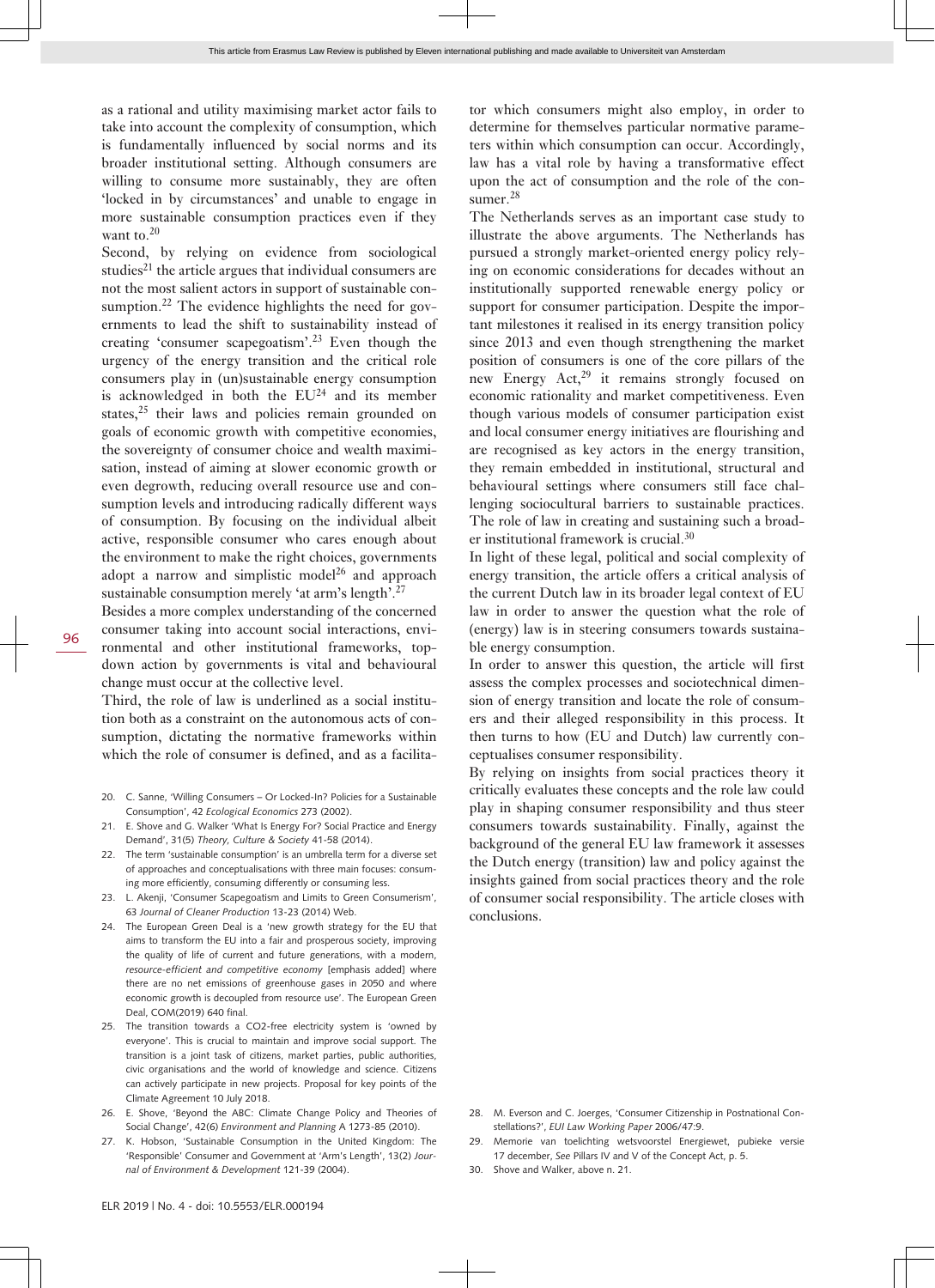as a rational and utility maximising market actor fails to take into account the complexity of consumption, which is fundamentally influenced by social norms and its broader institutional setting. Although consumers are willing to consume more sustainably, they are often 'locked in by circumstances' and unable to engage in more sustainable consumption practices even if they want to. $20$ 

Second, by relying on evidence from sociological studies<sup>21</sup> the article argues that individual consumers are not the most salient actors in support of sustainable consumption.<sup>22</sup> The evidence highlights the need for governments to lead the shift to sustainability instead of creating 'consumer scapegoatism'.<sup>23</sup> Even though the urgency of the energy transition and the critical role consumers play in (un)sustainable energy consumption is acknowledged in both the  $EU^{24}$  and its member states, $25$  their laws and policies remain grounded on goals of economic growth with competitive economies, the sovereignty of consumer choice and wealth maximisation, instead of aiming at slower economic growth or even degrowth, reducing overall resource use and consumption levels and introducing radically different ways of consumption. By focusing on the individual albeit active, responsible consumer who cares enough about the environment to make the right choices, governments adopt a narrow and simplistic model $^{26}$  and approach sustainable consumption merely 'at arm's length'.<sup>27</sup>

96

Besides a more complex understanding of the concerned consumer taking into account social interactions, environmental and other institutional frameworks, topdown action by governments is vital and behavioural change must occur at the collective level.

Third, the role of law is underlined as a social institution both as a constraint on the autonomous acts of consumption, dictating the normative frameworks within which the role of consumer is defined, and as a facilita-

- 20. C. Sanne, 'Willing Consumers Or Locked-In? Policies for a Sustainable Consumption', 42 *Ecological Economics* 273 (2002).
- 21. E. Shove and G. Walker 'What Is Energy For? Social Practice and Energy Demand', 31(5) *Theory, Culture & Society* 41-58 (2014).
- 22. The term 'sustainable consumption' is an umbrella term for a diverse set of approaches and conceptualisations with three main focuses: consuming more efficiently, consuming differently or consuming less.
- 23. L. Akenji, 'Consumer Scapegoatism and Limits to Green Consumerism', 63 *Journal of Cleaner Production* 13-23 (2014) Web.
- 24. The European Green Deal is a 'new growth strategy for the EU that aims to transform the EU into a fair and prosperous society, improving the quality of life of current and future generations, with a modern, *resource-efficient and competitive economy* [emphasis added] where there are no net emissions of greenhouse gases in 2050 and where economic growth is decoupled from resource use'. The European Green Deal, COM(2019) 640 final.
- 25. The transition towards a CO2-free electricity system is 'owned by everyone'. This is crucial to maintain and improve social support. The transition is a joint task of citizens, market parties, public authorities, civic organisations and the world of knowledge and science. Citizens can actively participate in new projects. Proposal for key points of the Climate Agreement 10 July 2018.
- 26. E. Shove, 'Beyond the ABC: Climate Change Policy and Theories of Social Change', 42(6) *Environment and Planning* A 1273-85 (2010).
- 27. K. Hobson, 'Sustainable Consumption in the United Kingdom: The 'Responsible' Consumer and Government at 'Arm's Length', 13(2) *Journal of Environment & Development* 121-39 (2004).

tor which consumers might also employ, in order to determine for themselves particular normative parameters within which consumption can occur. Accordingly, law has a vital role by having a transformative effect upon the act of consumption and the role of the consumer.<sup>28</sup>

The Netherlands serves as an important case study to illustrate the above arguments. The Netherlands has pursued a strongly market-oriented energy policy relying on economic considerations for decades without an institutionally supported renewable energy policy or support for consumer participation. Despite the important milestones it realised in its energy transition policy since 2013 and even though strengthening the market position of consumers is one of the core pillars of the new Energy Act,<sup>29</sup> it remains strongly focused on economic rationality and market competitiveness. Even though various models of consumer participation exist and local consumer energy initiatives are flourishing and are recognised as key actors in the energy transition, they remain embedded in institutional, structural and behavioural settings where consumers still face challenging sociocultural barriers to sustainable practices. The role of law in creating and sustaining such a broader institutional framework is crucial.<sup>30</sup>

In light of these legal, political and social complexity of energy transition, the article offers a critical analysis of the current Dutch law in its broader legal context of EU law in order to answer the question what the role of (energy) law is in steering consumers towards sustainable energy consumption.

In order to answer this question, the article will first assess the complex processes and sociotechnical dimension of energy transition and locate the role of consumers and their alleged responsibility in this process. It then turns to how (EU and Dutch) law currently conceptualises consumer responsibility.

By relying on insights from social practices theory it critically evaluates these concepts and the role law could play in shaping consumer responsibility and thus steer consumers towards sustainability. Finally, against the background of the general EU law framework it assesses the Dutch energy (transition) law and policy against the insights gained from social practices theory and the role of consumer social responsibility. The article closes with conclusions.

- 28. M. Everson and C. Joerges, 'Consumer Citizenship in Postnational Constellations?', *EUI Law Working Paper* 2006/47:9.
- 29. Memorie van toelichting wetsvoorstel Energiewet, pubieke versie 17 december, *See* Pillars IV and V of the Concept Act, p. 5.
- 30. Shove and Walker, above n. 21.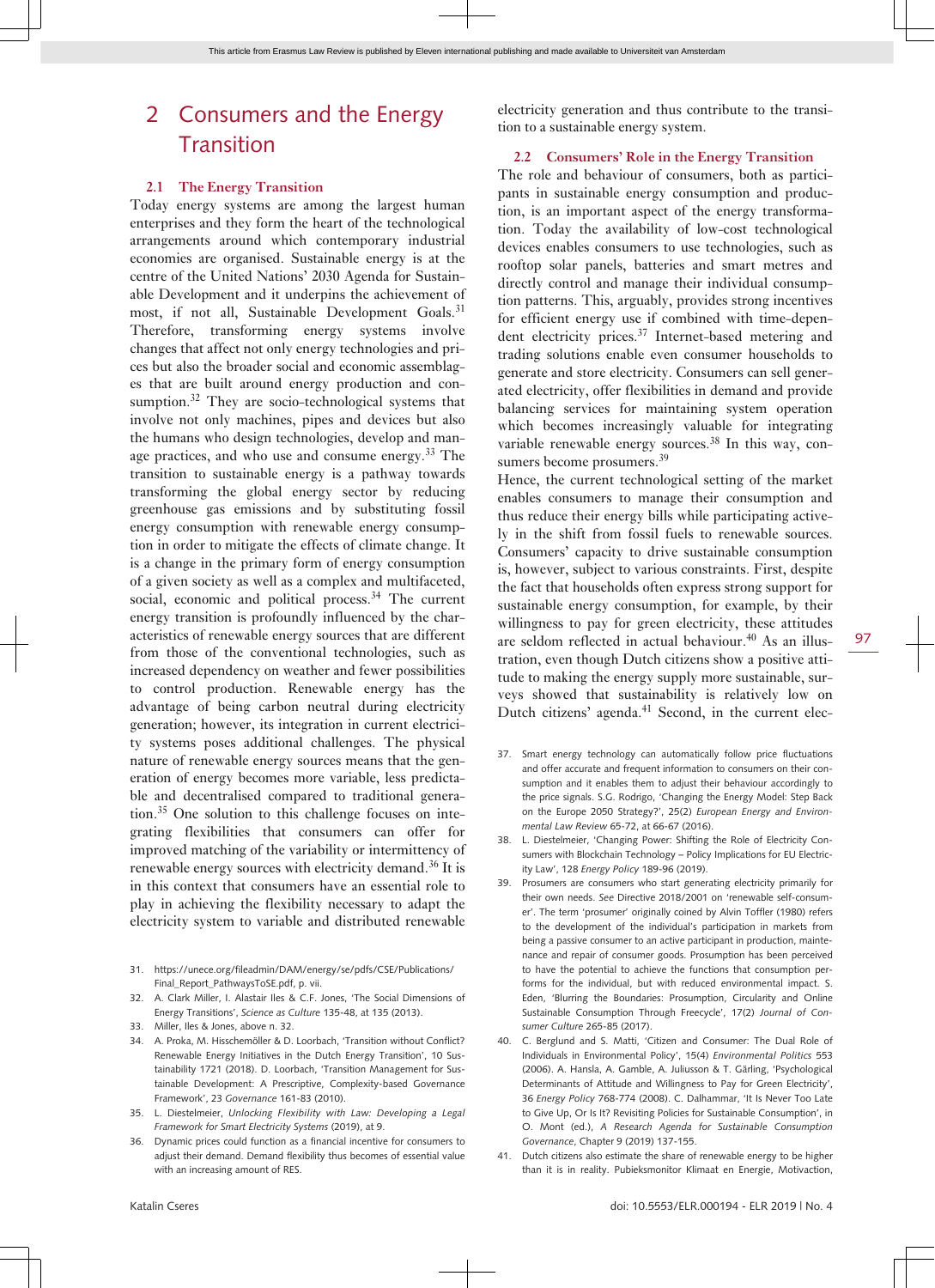# 2 Consumers and the Energy **Transition**

#### **2.1 The Energy Transition**

Today energy systems are among the largest human enterprises and they form the heart of the technological arrangements around which contemporary industrial economies are organised. Sustainable energy is at the centre of the United Nations' 2030 Agenda for Sustainable Development and it underpins the achievement of most, if not all, Sustainable Development Goals.<sup>31</sup> Therefore, transforming energy systems involve changes that affect not only energy technologies and prices but also the broader social and economic assemblages that are built around energy production and consumption. $32$  They are socio-technological systems that involve not only machines, pipes and devices but also the humans who design technologies, develop and manage practices, and who use and consume energy.<sup>33</sup> The transition to sustainable energy is a pathway towards transforming the global energy sector by reducing greenhouse gas emissions and by substituting fossil energy consumption with renewable energy consumption in order to mitigate the effects of climate change. It is a change in the primary form of energy consumption of a given society as well as a complex and multifaceted, social, economic and political process.<sup>34</sup> The current energy transition is profoundly influenced by the characteristics of renewable energy sources that are different from those of the conventional technologies, such as increased dependency on weather and fewer possibilities to control production. Renewable energy has the advantage of being carbon neutral during electricity generation; however, its integration in current electricity systems poses additional challenges. The physical nature of renewable energy sources means that the generation of energy becomes more variable, less predictable and decentralised compared to traditional generation.35 One solution to this challenge focuses on integrating flexibilities that consumers can offer for improved matching of the variability or intermittency of renewable energy sources with electricity demand.36 It is in this context that consumers have an essential role to play in achieving the flexibility necessary to adapt the electricity system to variable and distributed renewable

- 31. [https://unece.org/fileadmin/DAM/energy/se/pdfs/CSE/Publications/](https://unece.org/fileadmin/DAM/energy/se/pdfs/CSE/Publications/Final_Report_PathwaysToSE.pdf) [Final\\_Report\\_PathwaysToSE.pdf](https://unece.org/fileadmin/DAM/energy/se/pdfs/CSE/Publications/Final_Report_PathwaysToSE.pdf), p. vii.
- 32. A. Clark Miller, I. Alastair Iles & C.F. Jones, 'The Social Dimensions of Energy Transitions', *Science as Culture* 135-48, at 135 (2013).
- 33. Miller, Iles & Jones, above n. 32.
- 34. A. Proka, M. Hisschemöller & D. Loorbach, 'Transition without Conflict? Renewable Energy Initiatives in the Dutch Energy Transition', 10 Sustainability 1721 (2018). D. Loorbach, 'Transition Management for Sustainable Development: A Prescriptive, Complexity-based Governance Framework', 23 *Governance* 161-83 (2010).
- 35. L. Diestelmeier, *Unlocking Flexibility with Law: Developing a Legal Framework for Smart Electricity Systems* (2019), at 9.
- 36. Dynamic prices could function as a financial incentive for consumers to adjust their demand. Demand flexibility thus becomes of essential value with an increasing amount of RES.

electricity generation and thus contribute to the transition to a sustainable energy system.

#### **2.2 Consumers' Role in the Energy Transition**

The role and behaviour of consumers, both as participants in sustainable energy consumption and production, is an important aspect of the energy transformation. Today the availability of low-cost technological devices enables consumers to use technologies, such as rooftop solar panels, batteries and smart metres and directly control and manage their individual consumption patterns. This, arguably, provides strong incentives for efficient energy use if combined with time-dependent electricity prices.<sup>37</sup> Internet-based metering and trading solutions enable even consumer households to generate and store electricity. Consumers can sell generated electricity, offer flexibilities in demand and provide balancing services for maintaining system operation which becomes increasingly valuable for integrating variable renewable energy sources.<sup>38</sup> In this way, consumers become prosumers.<sup>39</sup>

Hence, the current technological setting of the market enables consumers to manage their consumption and thus reduce their energy bills while participating actively in the shift from fossil fuels to renewable sources. Consumers' capacity to drive sustainable consumption is, however, subject to various constraints. First, despite the fact that households often express strong support for sustainable energy consumption, for example, by their willingness to pay for green electricity, these attitudes are seldom reflected in actual behaviour.<sup>40</sup> As an illustration, even though Dutch citizens show a positive attitude to making the energy supply more sustainable, surveys showed that sustainability is relatively low on Dutch citizens' agenda.<sup>41</sup> Second, in the current elec-

- 37. Smart energy technology can automatically follow price fluctuations and offer accurate and frequent information to consumers on their consumption and it enables them to adjust their behaviour accordingly to the price signals. S.G. Rodrigo, 'Changing the Energy Model: Step Back on the Europe 2050 Strategy?', 25(2) *European Energy and Environmental Law Review* 65-72, at 66-67 (2016).
- 38. L. Diestelmeier, 'Changing Power: Shifting the Role of Electricity Consumers with Blockchain Technology – Policy Implications for EU Electricity Law', 128 *Energy Policy* 189-96 (2019).
- 39. Prosumers are consumers who start generating electricity primarily for their own needs. *See* Directive 2018/2001 on 'renewable self-consumer'. The term 'prosumer' originally coined by Alvin Toffler (1980) refers to the development of the individual's participation in markets from being a passive consumer to an active participant in production, maintenance and repair of consumer goods. Prosumption has been perceived to have the potential to achieve the functions that consumption performs for the individual, but with reduced environmental impact. S. Eden, 'Blurring the Boundaries: Prosumption, Circularity and Online Sustainable Consumption Through Freecycle', 17(2) *Journal of Consumer Culture* 265-85 (2017).
- 40. C. Berglund and S. Matti, 'Citizen and Consumer: The Dual Role of Individuals in Environmental Policy', 15(4) *Environmental Politics* 553 (2006). A. Hansla, A. Gamble, A. Juliusson & T. Gärling, 'Psychological Determinants of Attitude and Willingness to Pay for Green Electricity', 36 *Energy Policy* 768-774 (2008). C. Dalhammar, 'It Is Never Too Late to Give Up, Or Is It? Revisiting Policies for Sustainable Consumption', in O. Mont (ed.), *A Research Agenda for Sustainable Consumption Governance*, Chapter 9 (2019) 137-155.
- 41. Dutch citizens also estimate the share of renewable energy to be higher than it is in reality. Pubieksmonitor Klimaat en Energie, Motivaction,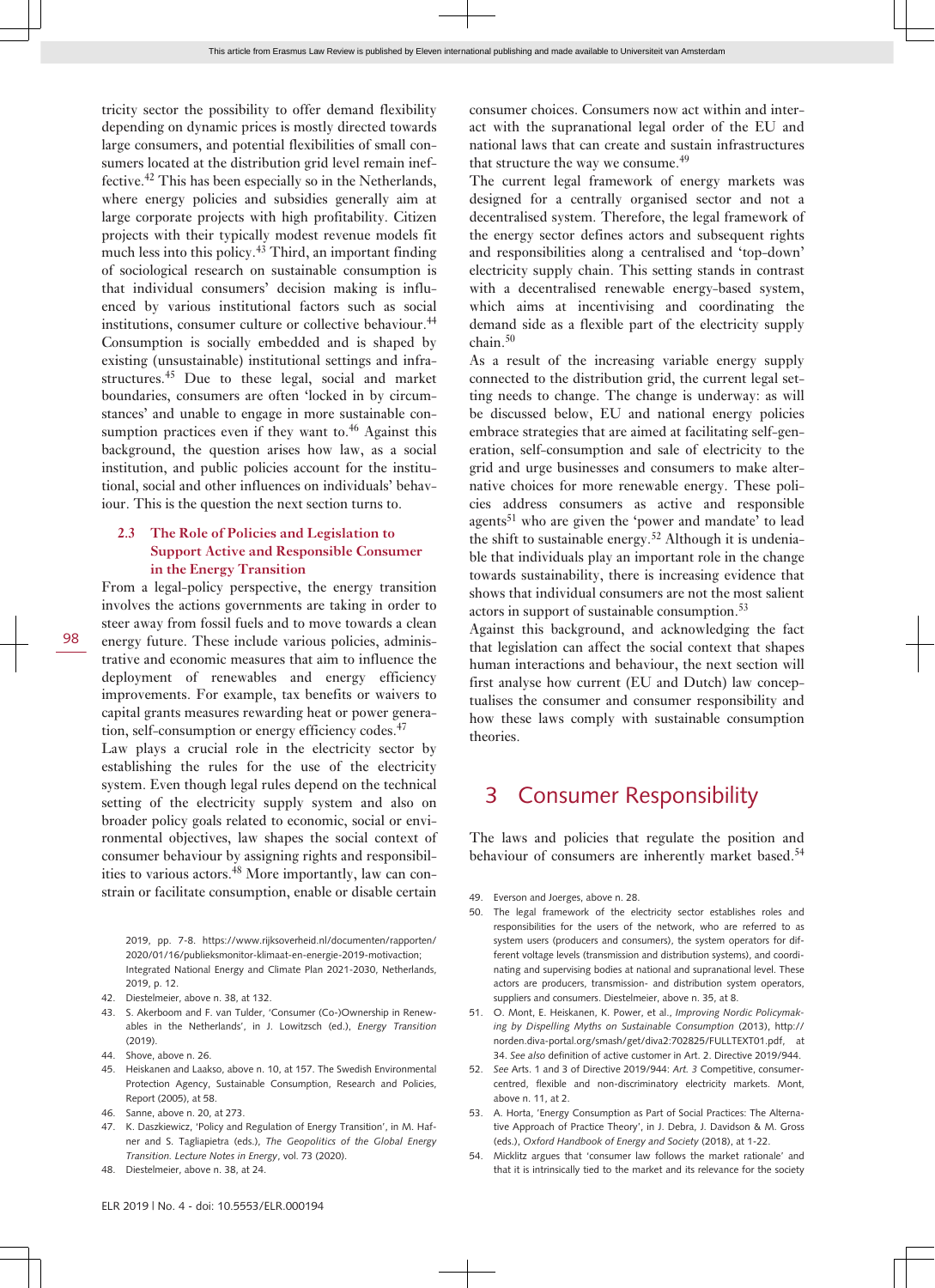tricity sector the possibility to offer demand flexibility depending on dynamic prices is mostly directed towards large consumers, and potential flexibilities of small consumers located at the distribution grid level remain ineffective.<sup>42</sup> This has been especially so in the Netherlands, where energy policies and subsidies generally aim at large corporate projects with high profitability. Citizen projects with their typically modest revenue models fit much less into this policy.<sup>43</sup> Third, an important finding of sociological research on sustainable consumption is that individual consumers' decision making is influenced by various institutional factors such as social institutions, consumer culture or collective behaviour.<sup>44</sup> Consumption is socially embedded and is shaped by existing (unsustainable) institutional settings and infrastructures.<sup>45</sup> Due to these legal, social and market boundaries, consumers are often 'locked in by circumstances' and unable to engage in more sustainable consumption practices even if they want to.<sup>46</sup> Against this background, the question arises how law, as a social institution, and public policies account for the institutional, social and other influences on individuals' behaviour. This is the question the next section turns to.

#### **2.3 The Role of Policies and Legislation to Support Active and Responsible Consumer in the Energy Transition**

From a legal-policy perspective, the energy transition involves the actions governments are taking in order to steer away from fossil fuels and to move towards a clean energy future. These include various policies, administrative and economic measures that aim to influence the deployment of renewables and energy efficiency improvements. For example, tax benefits or waivers to capital grants measures rewarding heat or power generation, self-consumption or energy efficiency codes.<sup>47</sup> Law plays a crucial role in the electricity sector by establishing the rules for the use of the electricity system. Even though legal rules depend on the technical

setting of the electricity supply system and also on broader policy goals related to economic, social or environmental objectives, law shapes the social context of consumer behaviour by assigning rights and responsibilities to various actors.<sup>48</sup> More importantly, law can constrain or facilitate consumption, enable or disable certain

2019, pp. 7-8. [https://www.rijksoverheid.nl/documenten/rapporten/](https://www.rijksoverheid.nl/documenten/rapporten/2020/01/16/publieksmonitor-klimaat-en-energie-2019-motivaction) [2020/01/16/publieksmonitor-klimaat-en-energie-2019-motivaction](https://www.rijksoverheid.nl/documenten/rapporten/2020/01/16/publieksmonitor-klimaat-en-energie-2019-motivaction); Integrated National Energy and Climate Plan 2021-2030, Netherlands, 2019, p. 12.

- 42. Diestelmeier, above n. 38, at 132.
- 43. S. Akerboom and F. van Tulder, 'Consumer (Co-)Ownership in Renewables in the Netherlands', in J. Lowitzsch (ed.), *Energy Transition*  $(2019)$
- 44. Shove, above n. 26.
- 45. Heiskanen and Laakso, above n. 10, at 157. The Swedish Environmental Protection Agency, Sustainable Consumption, Research and Policies, Report (2005), at 58.
- 46. Sanne, above n. 20, at 273.
- 47. K. Daszkiewicz, 'Policy and Regulation of Energy Transition', in M. Hafner and S. Tagliapietra (eds.), *The Geopolitics of the Global Energy Transition. Lecture Notes in Energy*, vol. 73 (2020).
- 48. Diestelmeier, above n. 38, at 24.

consumer choices. Consumers now act within and interact with the supranational legal order of the EU and national laws that can create and sustain infrastructures that structure the way we consume.<sup>49</sup>

The current legal framework of energy markets was designed for a centrally organised sector and not a decentralised system. Therefore, the legal framework of the energy sector defines actors and subsequent rights and responsibilities along a centralised and 'top-down' electricity supply chain. This setting stands in contrast with a decentralised renewable energy-based system, which aims at incentivising and coordinating the demand side as a flexible part of the electricity supply  $chain<sup>50</sup>$ 

As a result of the increasing variable energy supply connected to the distribution grid, the current legal setting needs to change. The change is underway: as will be discussed below, EU and national energy policies embrace strategies that are aimed at facilitating self-generation, self-consumption and sale of electricity to the grid and urge businesses and consumers to make alternative choices for more renewable energy. These policies address consumers as active and responsible agents<sup>51</sup> who are given the 'power and mandate' to lead the shift to sustainable energy.<sup>52</sup> Although it is undeniable that individuals play an important role in the change towards sustainability, there is increasing evidence that shows that individual consumers are not the most salient actors in support of sustainable consumption.<sup>53</sup>

Against this background, and acknowledging the fact that legislation can affect the social context that shapes human interactions and behaviour, the next section will first analyse how current (EU and Dutch) law conceptualises the consumer and consumer responsibility and how these laws comply with sustainable consumption theories.

## 3 Consumer Responsibility

The laws and policies that regulate the position and behaviour of consumers are inherently market based.<sup>54</sup>

- 49. Everson and Joerges, above n. 28.
- 50. The legal framework of the electricity sector establishes roles and responsibilities for the users of the network, who are referred to as system users (producers and consumers), the system operators for different voltage levels (transmission and distribution systems), and coordinating and supervising bodies at national and supranational level. These actors are producers, transmission- and distribution system operators, suppliers and consumers. Diestelmeier, above n. 35, at 8.
- 51. O. Mont, E. Heiskanen, K. Power, et al., *Improving Nordic Policymaking by Dispelling Myths on Sustainable Consumption* (2013), [http://](http://norden.diva-portal.org/smash/get/diva2:702825/FULLTEXT01.pdf) [norden.diva-portal.org/smash/get/diva2:702825/FULLTEXT01.pdf,](http://norden.diva-portal.org/smash/get/diva2:702825/FULLTEXT01.pdf) at 34. *See also* definition of active customer in Art. 2. Directive 2019/944.
- 52. *See* Arts. 1 and 3 of Directive 2019/944: *Art. 3* Competitive, consumercentred, flexible and non-discriminatory electricity markets. Mont, above n. 11, at 2.
- 53. A. Horta, 'Energy Consumption as Part of Social Practices: The Alternative Approach of Practice Theory', in J. Debra, J. Davidson & M. Gross (eds.), *Oxford Handbook of Energy and Society* (2018), at 1-22.
- 54. Micklitz argues that 'consumer law follows the market rationale' and that it is intrinsically tied to the market and its relevance for the society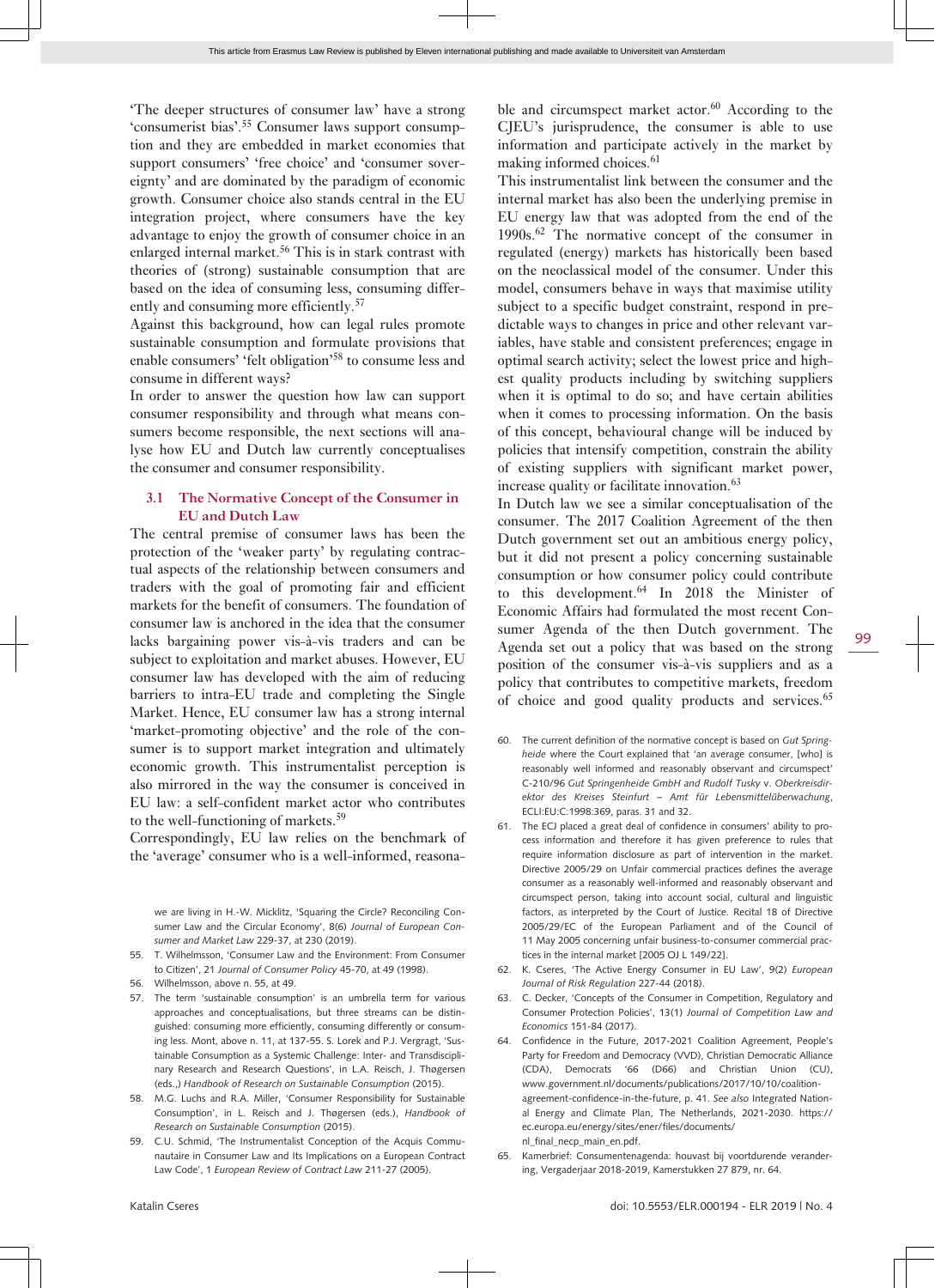'The deeper structures of consumer law' have a strong 'consumerist bias'.55 Consumer laws support consumption and they are embedded in market economies that support consumers' 'free choice' and 'consumer sovereignty' and are dominated by the paradigm of economic growth. Consumer choice also stands central in the EU integration project, where consumers have the key advantage to enjoy the growth of consumer choice in an enlarged internal market.<sup>56</sup> This is in stark contrast with theories of (strong) sustainable consumption that are based on the idea of consuming less, consuming differently and consuming more efficiently.<sup>57</sup>

Against this background, how can legal rules promote sustainable consumption and formulate provisions that enable consumers' 'felt obligation'<sup>58</sup> to consume less and consume in different ways?

In order to answer the question how law can support consumer responsibility and through what means consumers become responsible, the next sections will analyse how EU and Dutch law currently conceptualises the consumer and consumer responsibility.

#### **3.1 The Normative Concept of the Consumer in EU and Dutch Law**

The central premise of consumer laws has been the protection of the 'weaker party' by regulating contractual aspects of the relationship between consumers and traders with the goal of promoting fair and efficient markets for the benefit of consumers. The foundation of consumer law is anchored in the idea that the consumer lacks bargaining power vis-à-vis traders and can be subject to exploitation and market abuses. However, EU consumer law has developed with the aim of reducing barriers to intra-EU trade and completing the Single Market. Hence, EU consumer law has a strong internal 'market-promoting objective' and the role of the consumer is to support market integration and ultimately economic growth. This instrumentalist perception is also mirrored in the way the consumer is conceived in EU law: a self-confident market actor who contributes to the well-functioning of markets.<sup>59</sup>

Correspondingly, EU law relies on the benchmark of the 'average' consumer who is a well-informed, reasona-

we are living in H.-W. Micklitz, 'Squaring the Circle? Reconciling Consumer Law and the Circular Economy', 8(6) *Journal of European Consumer and Market Law* 229-37, at 230 (2019).

- 55. T. Wilhelmsson, 'Consumer Law and the Environment: From Consumer to Citizen', 21 *Journal of Consumer Policy* 45-70, at 49 (1998).
- 56. Wilhelmsson, above n. 55, at 49.
- 57. The term 'sustainable consumption' is an umbrella term for various approaches and conceptualisations, but three streams can be distinguished: consuming more efficiently, consuming differently or consuming less. Mont, above n. 11, at 137-55. S. Lorek and P.J. Vergragt, 'Sustainable Consumption as a Systemic Challenge: Inter- and Transdisciplinary Research and Research Questions', in L.A. Reisch, J. Thøgersen (eds.,) *Handbook of Research on Sustainable Consumption* (2015).
- 58. M.G. Luchs and R.A. Miller, 'Consumer Responsibility for Sustainable Consumption', in L. Reisch and J. Thøgersen (eds.), *Handbook of Research on Sustainable Consumption* (2015).
- 59. C.U. Schmid, 'The Instrumentalist Conception of the Acquis Communautaire in Consumer Law and Its Implications on a European Contract Law Code', 1 *European Review of Contract Law* 211-27 (2005).

ble and circumspect market actor.<sup>60</sup> According to the CJEU's jurisprudence, the consumer is able to use information and participate actively in the market by making informed choices.<sup>61</sup>

This instrumentalist link between the consumer and the internal market has also been the underlying premise in EU energy law that was adopted from the end of the 1990s.<sup>62</sup> The normative concept of the consumer in regulated (energy) markets has historically been based on the neoclassical model of the consumer. Under this model, consumers behave in ways that maximise utility subject to a specific budget constraint, respond in predictable ways to changes in price and other relevant variables, have stable and consistent preferences; engage in optimal search activity; select the lowest price and highest quality products including by switching suppliers when it is optimal to do so; and have certain abilities when it comes to processing information. On the basis of this concept, behavioural change will be induced by policies that intensify competition, constrain the ability of existing suppliers with significant market power, increase quality or facilitate innovation.<sup>63</sup>

In Dutch law we see a similar conceptualisation of the consumer. The 2017 Coalition Agreement of the then Dutch government set out an ambitious energy policy, but it did not present a policy concerning sustainable consumption or how consumer policy could contribute to this development.<sup>64</sup> In 2018 the Minister of Economic Affairs had formulated the most recent Consumer Agenda of the then Dutch government. The Agenda set out a policy that was based on the strong position of the consumer vis-à-vis suppliers and as a policy that contributes to competitive markets, freedom of choice and good quality products and services.<sup>65</sup>

- 60. The current definition of the normative concept is based on *Gut Springheide* where the Court explained that 'an average consumer, [who] is reasonably well informed and reasonably observant and circumspect' C-210/96 *Gut Springenheide GmbH and Rudolf Tusky* v. *Oberkreisdirektor des Kreises Steinfurt – Amt für Lebensmittelüberwachung*, ECLI:EU:C:1998:369, paras. 31 and 32.
- 61. The ECJ placed a great deal of confidence in consumers' ability to process information and therefore it has given preference to rules that require information disclosure as part of intervention in the market. Directive 2005/29 on Unfair commercial practices defines the average consumer as a reasonably well-informed and reasonably observant and circumspect person, taking into account social, cultural and linguistic factors, as interpreted by the Court of Justice. Recital 18 of Directive 2005/29/EC of the European Parliament and of the Council of 11 May 2005 concerning unfair business-to-consumer commercial practices in the internal market [2005 OJ L 149/22].
- 62. K. Cseres, 'The Active Energy Consumer in EU Law', 9(2) *European Journal of Risk Regulation* 227-44 (2018).
- 63. C. Decker, 'Concepts of the Consumer in Competition, Regulatory and Consumer Protection Policies', 13(1) *Journal of Competition Law and Economics* 151-84 (2017).
- 64. Confidence in the Future, 2017-2021 Coalition Agreement, People's Party for Freedom and Democracy (VVD), Christian Democratic Alliance (CDA), Democrats '66 (D66) and Christian Union (CU), [www.government.nl/documents/publications/2017/10/10/coalition](http://www.government.nl/documents/publications/2017/10/10/coalition-agreement-confidence-in-the-future)[agreement-confidence-in-the-future](http://www.government.nl/documents/publications/2017/10/10/coalition-agreement-confidence-in-the-future), p. 41. *See also* Integrated National Energy and Climate Plan, The Netherlands, 2021-2030. [https://](https://ec.europa.eu/energy/sites/ener/files/documents/nl_final_necp_main_en.pdf) [ec.europa.eu/energy/sites/ener/files/documents/](https://ec.europa.eu/energy/sites/ener/files/documents/nl_final_necp_main_en.pdf) [nl\\_final\\_necp\\_main\\_en.pdf.](https://ec.europa.eu/energy/sites/ener/files/documents/nl_final_necp_main_en.pdf)
- 65. Kamerbrief: Consumentenagenda: houvast bij voortdurende verandering, Vergaderjaar 2018-2019, Kamerstukken 27 879, nr. 64.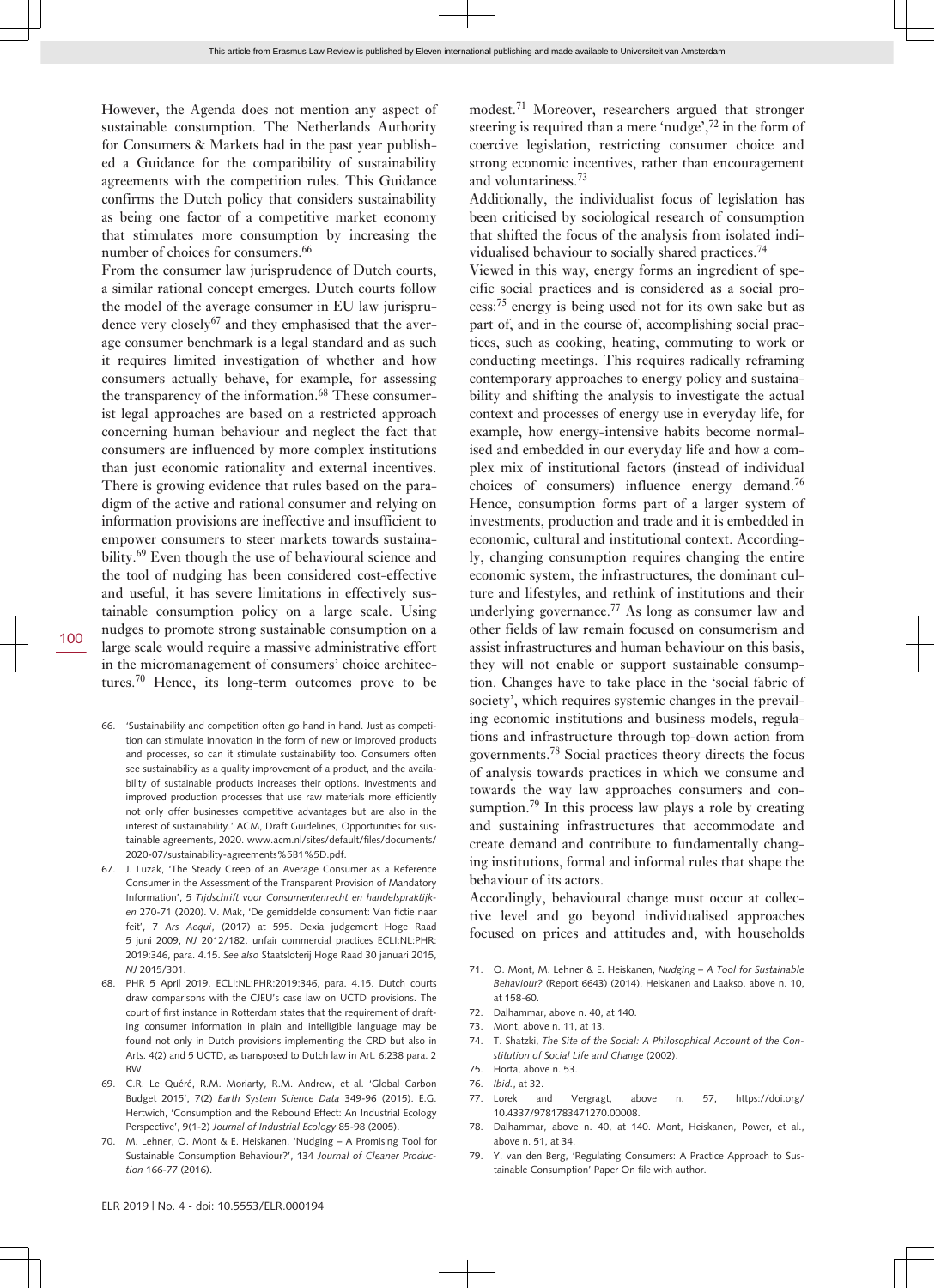However, the Agenda does not mention any aspect of sustainable consumption. The Netherlands Authority for Consumers & Markets had in the past year published a Guidance for the compatibility of sustainability agreements with the competition rules. This Guidance confirms the Dutch policy that considers sustainability as being one factor of a competitive market economy that stimulates more consumption by increasing the number of choices for consumers.<sup>66</sup>

From the consumer law jurisprudence of Dutch courts, a similar rational concept emerges. Dutch courts follow the model of the average consumer in EU law jurisprudence very closely<sup>67</sup> and they emphasised that the average consumer benchmark is a legal standard and as such it requires limited investigation of whether and how consumers actually behave, for example, for assessing the transparency of the information.<sup>68</sup> These consumerist legal approaches are based on a restricted approach concerning human behaviour and neglect the fact that consumers are influenced by more complex institutions than just economic rationality and external incentives. There is growing evidence that rules based on the paradigm of the active and rational consumer and relying on information provisions are ineffective and insufficient to empower consumers to steer markets towards sustainability.<sup>69</sup> Even though the use of behavioural science and the tool of nudging has been considered cost-effective and useful, it has severe limitations in effectively sustainable consumption policy on a large scale. Using nudges to promote strong sustainable consumption on a large scale would require a massive administrative effort in the micromanagement of consumers' choice architectures.70 Hence, its long-term outcomes prove to be

- 66. 'Sustainability and competition often go hand in hand. Just as competition can stimulate innovation in the form of new or improved products and processes, so can it stimulate sustainability too. Consumers often see sustainability as a quality improvement of a product, and the availability of sustainable products increases their options. Investments and improved production processes that use raw materials more efficiently not only offer businesses competitive advantages but are also in the interest of sustainability.' ACM, Draft Guidelines, Opportunities for sustainable agreements, 2020. [www.acm.nl/sites/default/files/documents/](http://www.acm.nl/sites/default/files/documents/2020-07/sustainability-agreements%5B1%5D.pdf) [2020-07/sustainability-agreements%5B1%5D.pdf.](http://www.acm.nl/sites/default/files/documents/2020-07/sustainability-agreements%5B1%5D.pdf)
- 67. J. Luzak, 'The Steady Creep of an Average Consumer as a Reference Consumer in the Assessment of the Transparent Provision of Mandatory Information', 5 *Tijdschrift voor Consumentenrecht en handelspraktijken* 270-71 (2020). V. Mak, 'De gemiddelde consument: Van fictie naar feit', 7 *Ars Aequi*, (2017) at 595. Dexia judgement Hoge Raad 5 juni 2009, *NJ* 2012/182. unfair commercial practices ECLI:NL:PHR: 2019:346, para. 4.15. *See also* Staatsloterij Hoge Raad 30 januari 2015, *NJ* 2015/301.
- 68. PHR 5 April 2019, ECLI:NL:PHR:2019:346, para. 4.15. Dutch courts draw comparisons with the CJEU's case law on UCTD provisions. The court of first instance in Rotterdam states that the requirement of drafting consumer information in plain and intelligible language may be found not only in Dutch provisions implementing the CRD but also in Arts. 4(2) and 5 UCTD, as transposed to Dutch law in Art. 6:238 para. 2 BW.
- 69. C.R. Le Quéré, R.M. Moriarty, R.M. Andrew, et al. 'Global Carbon Budget 2015', 7(2) *Earth System Science Data* 349-96 (2015). E.G. Hertwich, 'Consumption and the Rebound Effect: An Industrial Ecology Perspective', 9(1-2) *Journal of Industrial Ecology* 85-98 (2005).
- 70. M. Lehner, O. Mont & E. Heiskanen, 'Nudging A Promising Tool for Sustainable Consumption Behaviour?', 134 *Journal of Cleaner Production* 166-77 (2016).

modest.<sup>71</sup> Moreover, researchers argued that stronger steering is required than a mere 'nudge',<sup>72</sup> in the form of coercive legislation, restricting consumer choice and strong economic incentives, rather than encouragement and voluntariness.<sup>73</sup>

Additionally, the individualist focus of legislation has been criticised by sociological research of consumption that shifted the focus of the analysis from isolated individualised behaviour to socially shared practices.<sup>74</sup>

Viewed in this way, energy forms an ingredient of specific social practices and is considered as a social process:<sup>75</sup> energy is being used not for its own sake but as part of, and in the course of, accomplishing social practices, such as cooking, heating, commuting to work or conducting meetings. This requires radically reframing contemporary approaches to energy policy and sustainability and shifting the analysis to investigate the actual context and processes of energy use in everyday life, for example, how energy-intensive habits become normalised and embedded in our everyday life and how a complex mix of institutional factors (instead of individual choices of consumers) influence energy demand.<sup>76</sup> Hence, consumption forms part of a larger system of investments, production and trade and it is embedded in economic, cultural and institutional context. Accordingly, changing consumption requires changing the entire economic system, the infrastructures, the dominant culture and lifestyles, and rethink of institutions and their underlying governance.77 As long as consumer law and other fields of law remain focused on consumerism and assist infrastructures and human behaviour on this basis, they will not enable or support sustainable consumption. Changes have to take place in the 'social fabric of society', which requires systemic changes in the prevailing economic institutions and business models, regulations and infrastructure through top-down action from governments.78 Social practices theory directs the focus of analysis towards practices in which we consume and towards the way law approaches consumers and consumption.<sup>79</sup> In this process law plays a role by creating and sustaining infrastructures that accommodate and create demand and contribute to fundamentally changing institutions, formal and informal rules that shape the behaviour of its actors.

Accordingly, behavioural change must occur at collective level and go beyond individualised approaches focused on prices and attitudes and, with households

- 71. O. Mont, M. Lehner & E. Heiskanen, *Nudging A Tool for Sustainable Behaviour?* (Report 6643) (2014). Heiskanen and Laakso, above n. 10, at 158-60.
- 72. Dalhammar, above n. 40, at 140.
- 73. Mont, above n. 11, at 13.
- 74. T. Shatzki, *The Site of the Social: A Philosophical Account of the Constitution of Social Life and Change* (2002).
- 75. Horta, above n. 53.
- 76. *Ibid.*, at 32.
- 77. Lorek and Vergragt, above n. 57, [https://doi.org/](https://doi.org/10.4337/9781783471270.00008) [10.4337/9781783471270.00008](https://doi.org/10.4337/9781783471270.00008).
- 78. Dalhammar, above n. 40, at 140. Mont, Heiskanen, Power, et al., above n. 51, at 34.
- 79. Y. van den Berg, 'Regulating Consumers: A Practice Approach to Sustainable Consumption' Paper On file with author.

100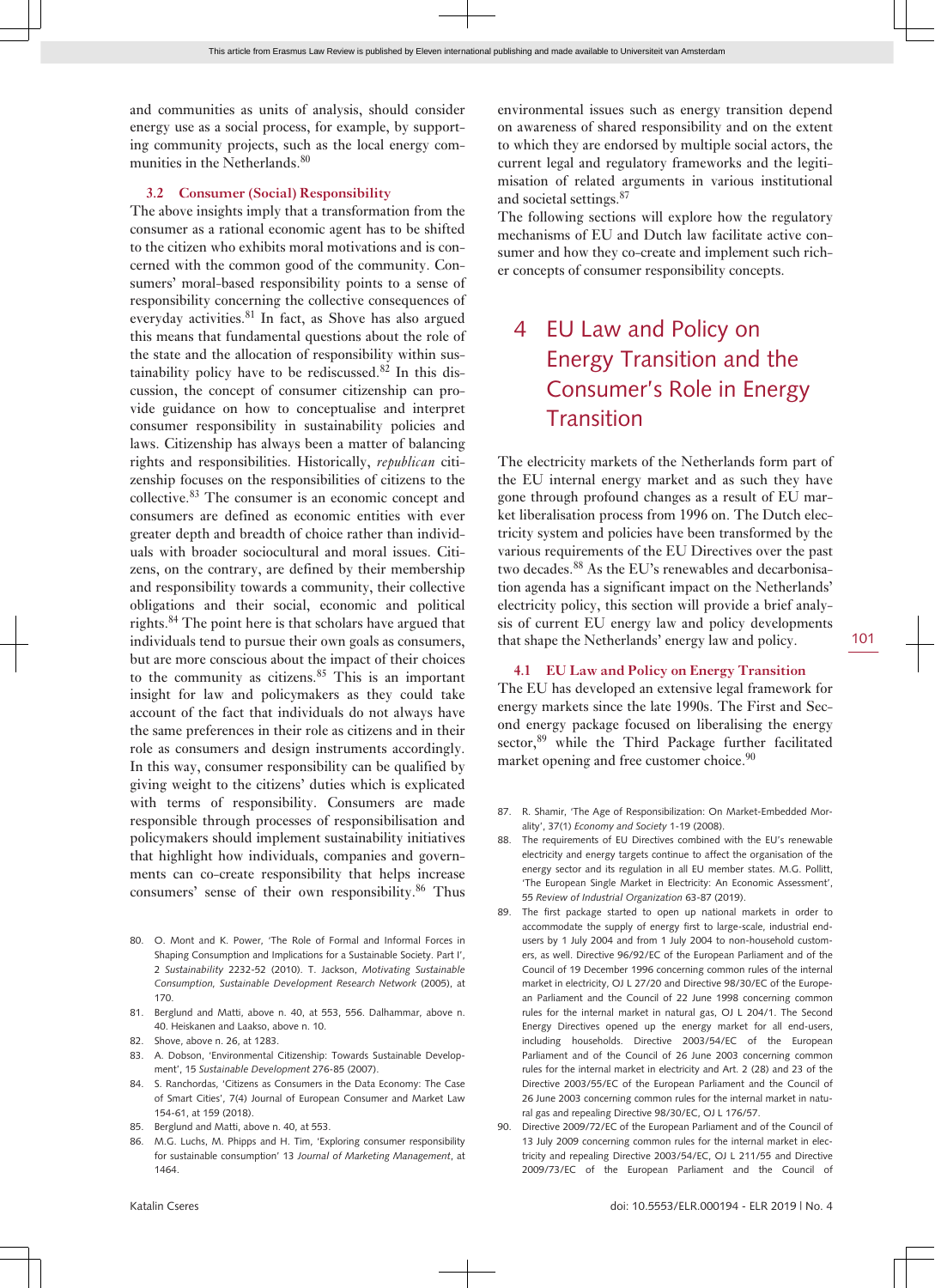and communities as units of analysis, should consider energy use as a social process, for example, by supporting community projects, such as the local energy communities in the Netherlands.<sup>80</sup>

#### **3.2 Consumer (Social) Responsibility**

The above insights imply that a transformation from the consumer as a rational economic agent has to be shifted to the citizen who exhibits moral motivations and is concerned with the common good of the community. Consumers' moral-based responsibility points to a sense of responsibility concerning the collective consequences of everyday activities. $81$  In fact, as Shove has also argued this means that fundamental questions about the role of the state and the allocation of responsibility within sustainability policy have to be rediscussed.<sup>82</sup> In this discussion, the concept of consumer citizenship can provide guidance on how to conceptualise and interpret consumer responsibility in sustainability policies and laws. Citizenship has always been a matter of balancing rights and responsibilities. Historically, *republican* citizenship focuses on the responsibilities of citizens to the collective.<sup>83</sup> The consumer is an economic concept and consumers are defined as economic entities with ever greater depth and breadth of choice rather than individuals with broader sociocultural and moral issues. Citizens, on the contrary, are defined by their membership and responsibility towards a community, their collective obligations and their social, economic and political rights.<sup>84</sup> The point here is that scholars have argued that individuals tend to pursue their own goals as consumers, but are more conscious about the impact of their choices to the community as citizens.85 This is an important insight for law and policymakers as they could take account of the fact that individuals do not always have the same preferences in their role as citizens and in their role as consumers and design instruments accordingly. In this way, consumer responsibility can be qualified by giving weight to the citizens' duties which is explicated with terms of responsibility. Consumers are made responsible through processes of responsibilisation and policymakers should implement sustainability initiatives that highlight how individuals, companies and governments can co-create responsibility that helps increase consumers' sense of their own responsibility.<sup>86</sup> Thus

- 80. O. Mont and K. Power, 'The Role of Formal and Informal Forces in Shaping Consumption and Implications for a Sustainable Society. Part I' 2 *Sustainability* 2232-52 (2010). T. Jackson, *Motivating Sustainable Consumption, Sustainable Development Research Network* (2005), at 170.
- 81. Berglund and Matti, above n. 40, at 553, 556. Dalhammar, above n. 40. Heiskanen and Laakso, above n. 10.
- 82. Shove, above n. 26, at 1283.
- 83. A. Dobson, 'Environmental Citizenship: Towards Sustainable Development', 15 *Sustainable Development* 276-85 (2007).
- 84. S. Ranchordas, 'Citizens as Consumers in the Data Economy: The Case of Smart Cities', 7(4) Journal of European Consumer and Market Law 154-61, at 159 (2018).
- 85. Berglund and Matti, above n. 40, at 553.
- 86. M.G. Luchs, M. Phipps and H. Tim, 'Exploring consumer responsibility for sustainable consumption' 13 *Journal of Marketing Management*, at 1464.

environmental issues such as energy transition depend on awareness of shared responsibility and on the extent to which they are endorsed by multiple social actors, the current legal and regulatory frameworks and the legitimisation of related arguments in various institutional and societal settings.<sup>87</sup>

The following sections will explore how the regulatory mechanisms of EU and Dutch law facilitate active consumer and how they co-create and implement such richer concepts of consumer responsibility concepts.

# 4 EU Law and Policy on Energy Transition and the Consumer's Role in Energy **Transition**

The electricity markets of the Netherlands form part of the EU internal energy market and as such they have gone through profound changes as a result of EU market liberalisation process from 1996 on. The Dutch electricity system and policies have been transformed by the various requirements of the EU Directives over the past two decades.<sup>88</sup> As the EU's renewables and decarbonisation agenda has a significant impact on the Netherlands' electricity policy, this section will provide a brief analysis of current EU energy law and policy developments that shape the Netherlands' energy law and policy.

#### **4.1 EU Law and Policy on Energy Transition**

The EU has developed an extensive legal framework for energy markets since the late 1990s. The First and Second energy package focused on liberalising the energy sector,<sup>89</sup> while the Third Package further facilitated market opening and free customer choice.<sup>90</sup>

- 87. R. Shamir, 'The Age of Responsibilization: On Market-Embedded Morality', 37(1) *Economy and Society* 1-19 (2008).
- 88. The requirements of EU Directives combined with the EU's renewable electricity and energy targets continue to affect the organisation of the energy sector and its regulation in all EU member states. M.G. Pollitt, 'The European Single Market in Electricity: An Economic Assessment', 55 *Review of Industrial Organization* 63-87 (2019).
- 89. The first package started to open up national markets in order to accommodate the supply of energy first to large-scale, industrial endusers by 1 July 2004 and from 1 July 2004 to non-household customers, as well. Directive 96/92/EC of the European Parliament and of the Council of 19 December 1996 concerning common rules of the internal market in electricity, OJ L 27/20 and Directive 98/30/EC of the European Parliament and the Council of 22 June 1998 concerning common rules for the internal market in natural gas, OJ L 204/1. The Second Energy Directives opened up the energy market for all end-users, including households. Directive 2003/54/EC of the European Parliament and of the Council of 26 June 2003 concerning common rules for the internal market in electricity and Art. 2 (28) and 23 of the Directive 2003/55/EC of the European Parliament and the Council of 26 June 2003 concerning common rules for the internal market in natural gas and repealing Directive 98/30/EC, OJ L 176/57.
- 90. Directive 2009/72/EC of the European Parliament and of the Council of 13 July 2009 concerning common rules for the internal market in electricity and repealing Directive 2003/54/EC, OJ L 211/55 and Directive 2009/73/EC of the European Parliament and the Council of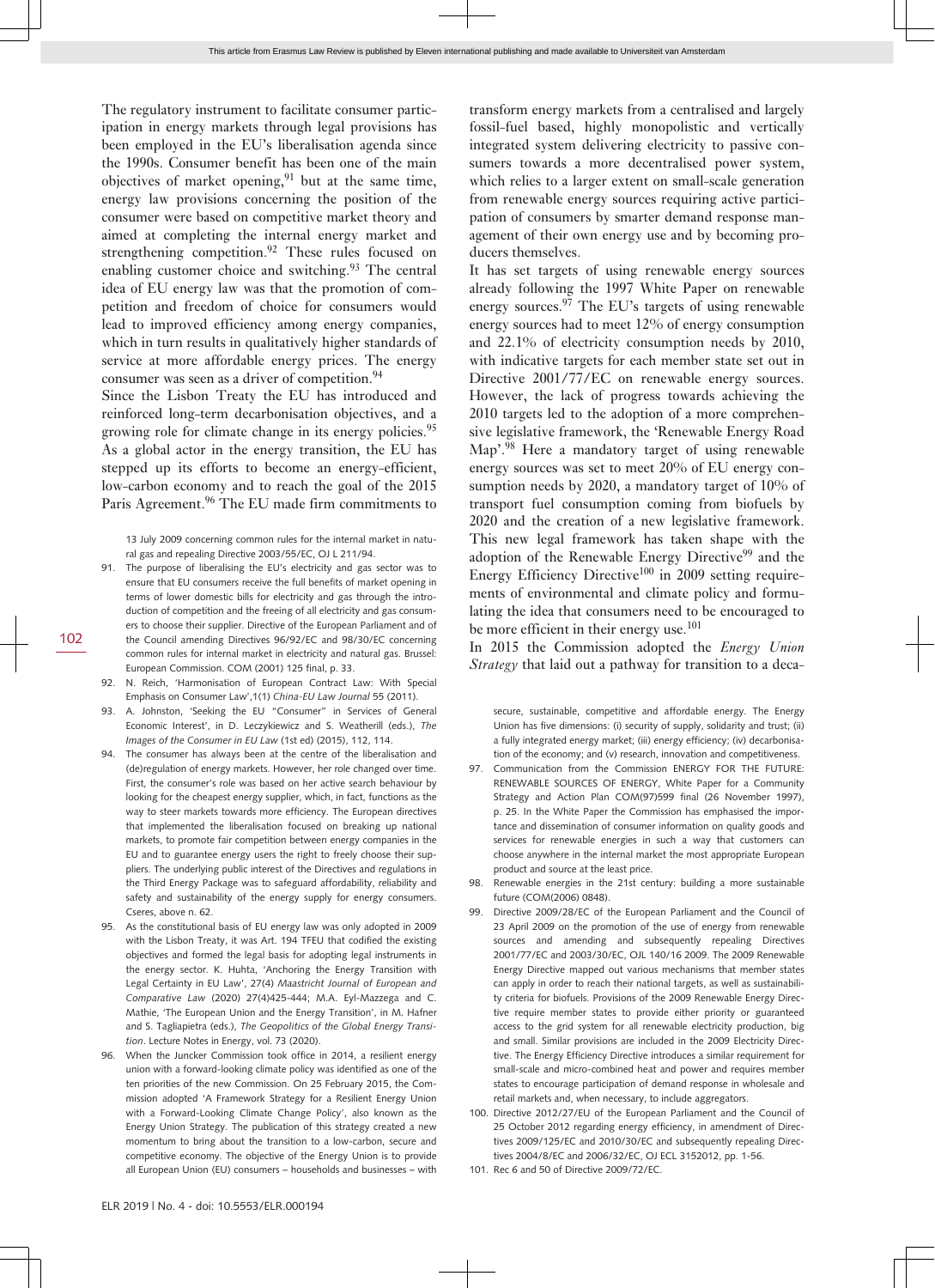The regulatory instrument to facilitate consumer participation in energy markets through legal provisions has been employed in the EU's liberalisation agenda since the 1990s. Consumer benefit has been one of the main objectives of market opening,  $91$  but at the same time, energy law provisions concerning the position of the consumer were based on competitive market theory and aimed at completing the internal energy market and strengthening competition.<sup>92</sup> These rules focused on enabling customer choice and switching.<sup>93</sup> The central idea of EU energy law was that the promotion of competition and freedom of choice for consumers would lead to improved efficiency among energy companies, which in turn results in qualitatively higher standards of service at more affordable energy prices. The energy consumer was seen as a driver of competition.<sup>94</sup>

Since the Lisbon Treaty the EU has introduced and reinforced long-term decarbonisation objectives, and a growing role for climate change in its energy policies.<sup>95</sup> As a global actor in the energy transition, the EU has stepped up its efforts to become an energy-efficient, low-carbon economy and to reach the goal of the 2015 Paris Agreement.<sup>96</sup> The EU made firm commitments to

13 July 2009 concerning common rules for the internal market in natural gas and repealing Directive 2003/55/EC, OJ L 211/94.

- 91. The purpose of liberalising the EU's electricity and gas sector was to ensure that EU consumers receive the full benefits of market opening in terms of lower domestic bills for electricity and gas through the introduction of competition and the freeing of all electricity and gas consumers to choose their supplier. Directive of the European Parliament and of the Council amending Directives 96/92/EC and 98/30/EC concerning common rules for internal market in electricity and natural gas. Brussel: European Commission. COM (2001) 125 final, p. 33.
- 92. N. Reich, 'Harmonisation of European Contract Law: With Special Emphasis on Consumer Law',1(1) *China-EU Law Journal* 55 (2011).
- 93. A. Johnston, 'Seeking the EU "Consumer" in Services of General Economic Interest', in D. Leczykiewicz and S. Weatherill (eds.), *The Images of the Consumer in EU Law* (1st ed) (2015), 112, 114.
- 94. The consumer has always been at the centre of the liberalisation and (de)regulation of energy markets. However, her role changed over time. First, the consumer's role was based on her active search behaviour by looking for the cheapest energy supplier, which, in fact, functions as the way to steer markets towards more efficiency. The European directives that implemented the liberalisation focused on breaking up national markets, to promote fair competition between energy companies in the EU and to guarantee energy users the right to freely choose their suppliers. The underlying public interest of the Directives and regulations in the Third Energy Package was to safeguard affordability, reliability and safety and sustainability of the energy supply for energy consumers. Cseres, above n. 62.
- 95. As the constitutional basis of EU energy law was only adopted in 2009 with the Lisbon Treaty, it was Art. 194 TFEU that codified the existing objectives and formed the legal basis for adopting legal instruments in the energy sector. K. Huhta, 'Anchoring the Energy Transition with Legal Certainty in EU Law', 27(4) *Maastricht Journal of European and Comparative Law* (2020) 27(4)425-444; M.A. Eyl-Mazzega and C. Mathie, 'The European Union and the Energy Transition', in M. Hafner and S. Tagliapietra (eds.), *The Geopolitics of the Global Energy Transition*. Lecture Notes in Energy, vol. 73 (2020).
- 96. When the Juncker Commission took office in 2014, a resilient energy union with a forward-looking climate policy was identified as one of the ten priorities of the new Commission. On 25 February 2015, the Commission adopted 'A Framework Strategy for a Resilient Energy Union with a Forward-Looking Climate Change Policy', also known as the Energy Union Strategy. The publication of this strategy created a new momentum to bring about the transition to a low-carbon, secure and competitive economy. The objective of the Energy Union is to provide all European Union (EU) consumers – households and businesses – with

transform energy markets from a centralised and largely fossil-fuel based, highly monopolistic and vertically integrated system delivering electricity to passive consumers towards a more decentralised power system, which relies to a larger extent on small-scale generation from renewable energy sources requiring active participation of consumers by smarter demand response management of their own energy use and by becoming producers themselves.

It has set targets of using renewable energy sources already following the 1997 White Paper on renewable energy sources.<sup>97</sup> The EU's targets of using renewable energy sources had to meet 12% of energy consumption and 22.1% of electricity consumption needs by 2010, with indicative targets for each member state set out in Directive 2001/77/EC on renewable energy sources. However, the lack of progress towards achieving the 2010 targets led to the adoption of a more comprehensive legislative framework, the 'Renewable Energy Road Map<sup>'.98</sup> Here a mandatory target of using renewable energy sources was set to meet 20% of EU energy consumption needs by 2020, a mandatory target of 10% of transport fuel consumption coming from biofuels by 2020 and the creation of a new legislative framework. This new legal framework has taken shape with the adoption of the Renewable Energy Directive<sup>99</sup> and the Energy Efficiency Directive<sup>100</sup> in 2009 setting requirements of environmental and climate policy and formulating the idea that consumers need to be encouraged to be more efficient in their energy use.<sup>101</sup>

In 2015 the Commission adopted the *Energy Union Strategy* that laid out a pathway for transition to a deca-

secure, sustainable, competitive and affordable energy. The Energy Union has five dimensions: (i) security of supply, solidarity and trust; (ii) a fully integrated energy market; (iii) energy efficiency; (iv) decarbonisation of the economy; and (v) research, innovation and competitiveness.

- 97. Communication from the Commission ENERGY FOR THE FUTURE: RENEWABLE SOURCES OF ENERGY, White Paper for a Community Strategy and Action Plan COM(97)599 final (26 November 1997), p. 25. In the White Paper the Commission has emphasised the importance and dissemination of consumer information on quality goods and services for renewable energies in such a way that customers can choose anywhere in the internal market the most appropriate European product and source at the least price.
- 98. Renewable energies in the 21st century: building a more sustainable future (COM(2006) 0848).
- 99. Directive 2009/28/EC of the European Parliament and the Council of 23 April 2009 on the promotion of the use of energy from renewable sources and amending and subsequently repealing Directives 2001/77/EC and 2003/30/EC, OJL 140/16 2009. The 2009 Renewable Energy Directive mapped out various mechanisms that member states can apply in order to reach their national targets, as well as sustainability criteria for biofuels. Provisions of the 2009 Renewable Energy Directive require member states to provide either priority or guaranteed access to the grid system for all renewable electricity production, big and small. Similar provisions are included in the 2009 Electricity Directive. The Energy Efficiency Directive introduces a similar requirement for small-scale and micro-combined heat and power and requires member states to encourage participation of demand response in wholesale and retail markets and, when necessary, to include aggregators.
- 100. Directive 2012/27/EU of the European Parliament and the Council of 25 October 2012 regarding energy efficiency, in amendment of Directives 2009/125/EC and 2010/30/EC and subsequently repealing Directives 2004/8/EC and 2006/32/EC, OJ ECL 3152012, pp. 1-56.
- 101. Rec 6 and 50 of Directive 2009/72/EC.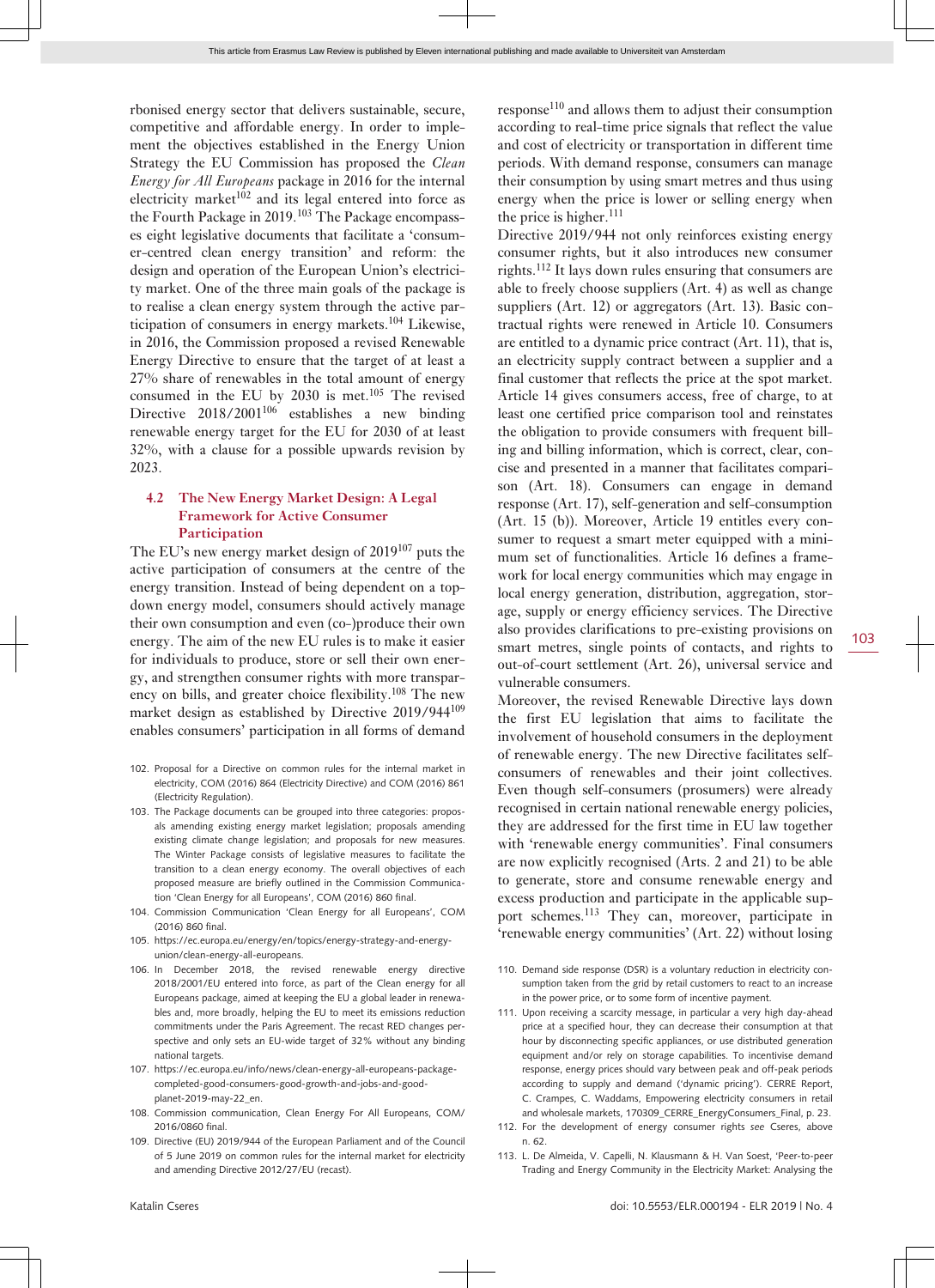rbonised energy sector that delivers sustainable, secure, competitive and affordable energy. In order to implement the objectives established in the Energy Union Strategy the EU Commission has proposed the *Clean Energy for All Europeans* package in 2016 for the internal electricity market $102$  and its legal entered into force as the Fourth Package in 2019.<sup>103</sup> The Package encompasses eight legislative documents that facilitate a 'consumer-centred clean energy transition' and reform: the design and operation of the European Union's electricity market. One of the three main goals of the package is to realise a clean energy system through the active participation of consumers in energy markets.<sup>104</sup> Likewise, in 2016, the Commission proposed a revised Renewable Energy Directive to ensure that the target of at least a 27% share of renewables in the total amount of energy consumed in the EU by  $2030$  is met.<sup>105</sup> The revised Directive  $2018/2001^{106}$  establishes a new binding renewable energy target for the EU for 2030 of at least 32%, with a clause for a possible upwards revision by 2023.

#### **4.2 The New Energy Market Design: A Legal Framework for Active Consumer Participation**

The EU's new energy market design of 2019107 puts the active participation of consumers at the centre of the energy transition. Instead of being dependent on a topdown energy model, consumers should actively manage their own consumption and even (co-)produce their own energy. The aim of the new EU rules is to make it easier for individuals to produce, store or sell their own energy, and strengthen consumer rights with more transparency on bills, and greater choice flexibility.108 The new market design as established by Directive 2019/944<sup>109</sup> enables consumers' participation in all forms of demand

- 102. Proposal for a Directive on common rules for the internal market in electricity, COM (2016) 864 (Electricity Directive) and COM (2016) 861 (Electricity Regulation).
- 103. The Package documents can be grouped into three categories: proposals amending existing energy market legislation; proposals amending existing climate change legislation; and proposals for new measures. The Winter Package consists of legislative measures to facilitate the transition to a clean energy economy. The overall objectives of each proposed measure are briefly outlined in the Commission Communication 'Clean Energy for all Europeans', COM (2016) 860 final.
- 104. Commission Communication 'Clean Energy for all Europeans', COM (2016) 860 final.
- 105. [https://ec.europa.eu/energy/en/topics/energy-strategy-and-energy](https://ec.europa.eu/energy/en/topics/energy-strategy-and-energy-union/clean-energy-all-europeans)[union/clean-energy-all-europeans.](https://ec.europa.eu/energy/en/topics/energy-strategy-and-energy-union/clean-energy-all-europeans)
- 106. In December 2018, the revised renewable energy directive 2018/2001/EU entered into force, as part of the Clean energy for all Europeans package, aimed at keeping the EU a global leader in renewables and, more broadly, helping the EU to meet its emissions reduction commitments under the Paris Agreement. The recast RED changes perspective and only sets an EU-wide target of 32% without any binding national targets.
- 107. [https://ec.europa.eu/info/news/clean-energy-all-europeans-package](https://ec.europa.eu/info/news/clean-energy-all-europeans-package-completed-good-consumers-good-growth-and-jobs-and-good-planet-2019-may-22_en)[completed-good-consumers-good-growth-and-jobs-and-good](https://ec.europa.eu/info/news/clean-energy-all-europeans-package-completed-good-consumers-good-growth-and-jobs-and-good-planet-2019-may-22_en)[planet-2019-may-22\\_en](https://ec.europa.eu/info/news/clean-energy-all-europeans-package-completed-good-consumers-good-growth-and-jobs-and-good-planet-2019-may-22_en).
- 108. Commission communication, Clean Energy For All Europeans, COM/ 2016/0860 final.
- 109. Directive (EU) 2019/944 of the European Parliament and of the Council of 5 June 2019 on common rules for the internal market for electricity and amending Directive 2012/27/EU (recast).

response<sup>110</sup> and allows them to adjust their consumption according to real-time price signals that reflect the value and cost of electricity or transportation in different time periods. With demand response, consumers can manage their consumption by using smart metres and thus using energy when the price is lower or selling energy when the price is higher. $111$ 

Directive 2019/944 not only reinforces existing energy consumer rights, but it also introduces new consumer rights.<sup>112</sup> It lays down rules ensuring that consumers are able to freely choose suppliers (Art. 4) as well as change suppliers (Art. 12) or aggregators (Art. 13). Basic contractual rights were renewed in Article 10. Consumers are entitled to a dynamic price contract (Art. 11), that is, an electricity supply contract between a supplier and a final customer that reflects the price at the spot market. Article 14 gives consumers access, free of charge, to at least one certified price comparison tool and reinstates the obligation to provide consumers with frequent billing and billing information, which is correct, clear, concise and presented in a manner that facilitates comparison (Art. 18). Consumers can engage in demand response (Art. 17), self-generation and self-consumption (Art. 15 (b)). Moreover, Article 19 entitles every consumer to request a smart meter equipped with a minimum set of functionalities. Article 16 defines a framework for local energy communities which may engage in local energy generation, distribution, aggregation, storage, supply or energy efficiency services. The Directive also provides clarifications to pre-existing provisions on smart metres, single points of contacts, and rights to out-of-court settlement (Art. 26), universal service and vulnerable consumers.

Moreover, the revised Renewable Directive lays down the first EU legislation that aims to facilitate the involvement of household consumers in the deployment of renewable energy. The new Directive facilitates selfconsumers of renewables and their joint collectives. Even though self-consumers (prosumers) were already recognised in certain national renewable energy policies, they are addressed for the first time in EU law together with 'renewable energy communities'. Final consumers are now explicitly recognised (Arts. 2 and 21) to be able to generate, store and consume renewable energy and excess production and participate in the applicable support schemes.<sup>113</sup> They can, moreover, participate in 'renewable energy communities' (Art. 22) without losing

- 110. Demand side response (DSR) is a voluntary reduction in electricity consumption taken from the grid by retail customers to react to an increase in the power price, or to some form of incentive payment.
- 111. Upon receiving a scarcity message, in particular a very high day-ahead price at a specified hour, they can decrease their consumption at that hour by disconnecting specific appliances, or use distributed generation equipment and/or rely on storage capabilities. To incentivise demand response, energy prices should vary between peak and off-peak periods according to supply and demand ('dynamic pricing'). CERRE Report, C. Crampes, C. Waddams, Empowering electricity consumers in retail and wholesale markets, 170309\_CERRE\_EnergyConsumers\_Final, p. 23.
- 112. For the development of energy consumer rights *see* Cseres, above n. 62.
- 113. L. De Almeida, V. Capelli, N. Klausmann & H. Van Soest, 'Peer-to-peer Trading and Energy Community in the Electricity Market: Analysing the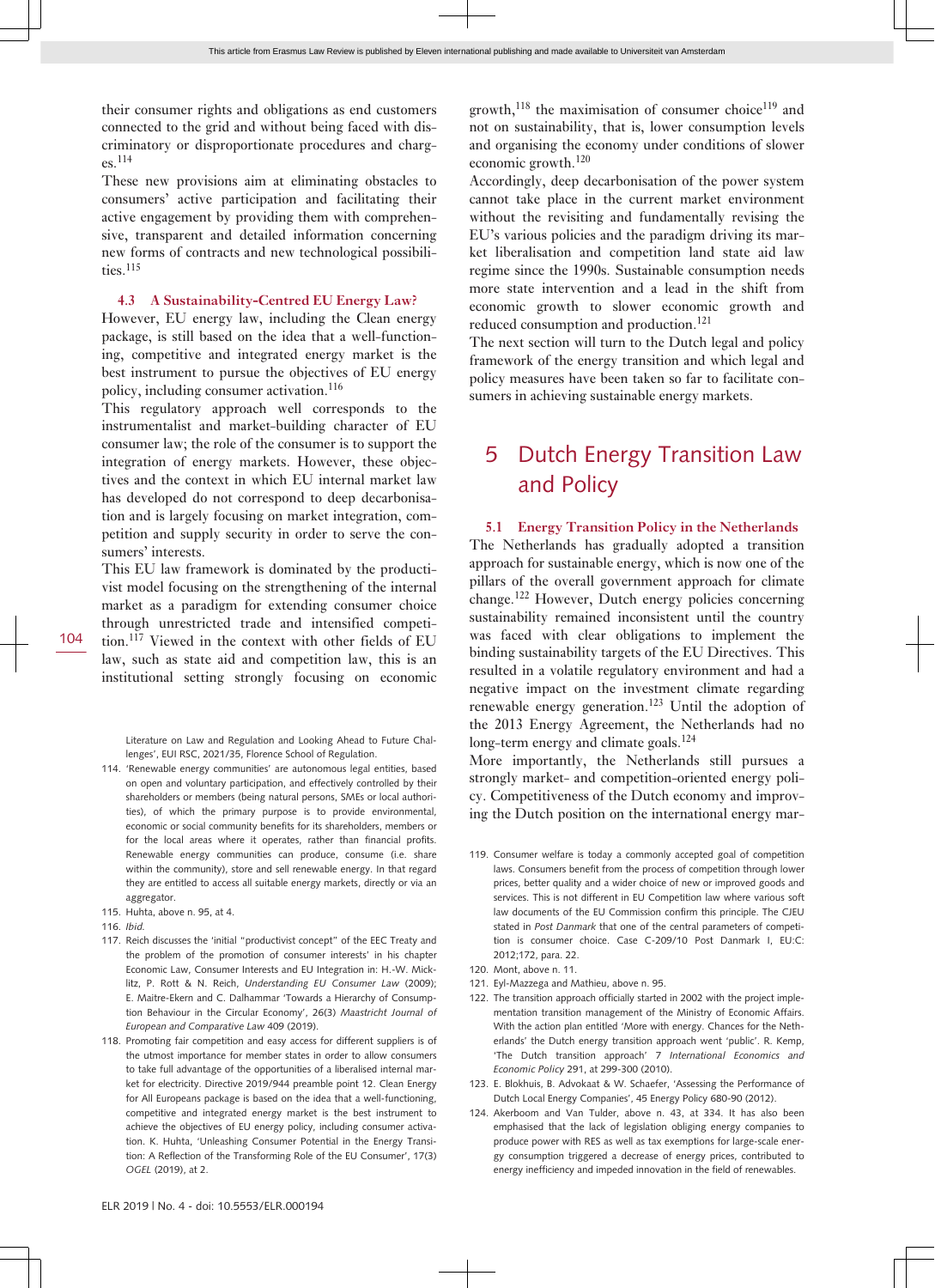their consumer rights and obligations as end customers connected to the grid and without being faced with discriminatory or disproportionate procedures and charges.<sup>114</sup>

These new provisions aim at eliminating obstacles to consumers' active participation and facilitating their active engagement by providing them with comprehensive, transparent and detailed information concerning new forms of contracts and new technological possibilities.<sup>115</sup>

#### **4.3 A Sustainability-Centred EU Energy Law?**

However, EU energy law, including the Clean energy package, is still based on the idea that a well-functioning, competitive and integrated energy market is the best instrument to pursue the objectives of EU energy policy, including consumer activation.<sup>116</sup>

This regulatory approach well corresponds to the instrumentalist and market-building character of EU consumer law; the role of the consumer is to support the integration of energy markets. However, these objectives and the context in which EU internal market law has developed do not correspond to deep decarbonisation and is largely focusing on market integration, competition and supply security in order to serve the consumers' interests.

This EU law framework is dominated by the productivist model focusing on the strengthening of the internal market as a paradigm for extending consumer choice through unrestricted trade and intensified competition.117 Viewed in the context with other fields of EU law, such as state aid and competition law, this is an institutional setting strongly focusing on economic

Literature on Law and Regulation and Looking Ahead to Future Challenges', EUI RSC, 2021/35, Florence School of Regulation.

- 114. 'Renewable energy communities' are autonomous legal entities, based on open and voluntary participation, and effectively controlled by their shareholders or members (being natural persons, SMEs or local authorities), of which the primary purpose is to provide environmental, economic or social community benefits for its shareholders, members or for the local areas where it operates, rather than financial profits. Renewable energy communities can produce, consume (i.e. share within the community), store and sell renewable energy. In that regard they are entitled to access all suitable energy markets, directly or via an aggregator.
- 115. Huhta, above n. 95, at 4.
- 116. *Ibid.*
- 117. Reich discusses the 'initial "productivist concept" of the EEC Treaty and the problem of the promotion of consumer interests' in his chapter Economic Law, Consumer Interests and EU Integration in: H.-W. Micklitz, P. Rott & N. Reich, *Understanding EU Consumer Law* (2009); E. Maitre-Ekern and C. Dalhammar 'Towards a Hierarchy of Consumption Behaviour in the Circular Economy', 26(3) *Maastricht Journal of European and Comparative Law* 409 (2019).
- 118. Promoting fair competition and easy access for different suppliers is of the utmost importance for member states in order to allow consumers to take full advantage of the opportunities of a liberalised internal market for electricity. Directive 2019/944 preamble point 12. Clean Energy for All Europeans package is based on the idea that a well-functioning, competitive and integrated energy market is the best instrument to achieve the objectives of EU energy policy, including consumer activation. K. Huhta, 'Unleashing Consumer Potential in the Energy Transition: A Reflection of the Transforming Role of the EU Consumer', 17(3) *OGEL* (2019), at 2.

growth,<sup>118</sup> the maximisation of consumer choice<sup>119</sup> and not on sustainability, that is, lower consumption levels and organising the economy under conditions of slower economic growth.<sup>120</sup>

Accordingly, deep decarbonisation of the power system cannot take place in the current market environment without the revisiting and fundamentally revising the EU's various policies and the paradigm driving its market liberalisation and competition land state aid law regime since the 1990s. Sustainable consumption needs more state intervention and a lead in the shift from economic growth to slower economic growth and reduced consumption and production.<sup>121</sup>

The next section will turn to the Dutch legal and policy framework of the energy transition and which legal and policy measures have been taken so far to facilitate consumers in achieving sustainable energy markets.

# 5 Dutch Energy Transition Law and Policy

**5.1 Energy Transition Policy in the Netherlands** The Netherlands has gradually adopted a transition approach for sustainable energy, which is now one of the pillars of the overall government approach for climate change.122 However, Dutch energy policies concerning sustainability remained inconsistent until the country was faced with clear obligations to implement the binding sustainability targets of the EU Directives. This resulted in a volatile regulatory environment and had a negative impact on the investment climate regarding renewable energy generation.123 Until the adoption of the 2013 Energy Agreement, the Netherlands had no long-term energy and climate goals.<sup>124</sup>

More importantly, the Netherlands still pursues a strongly market- and competition-oriented energy policy. Competitiveness of the Dutch economy and improving the Dutch position on the international energy mar-

- 119. Consumer welfare is today a commonly accepted goal of competition laws. Consumers benefit from the process of competition through lower prices, better quality and a wider choice of new or improved goods and services. This is not different in EU Competition law where various soft law documents of the EU Commission confirm this principle. The CJEU stated in *Post Danmark* that one of the central parameters of competition is consumer choice. Case C-209/10 Post Danmark I, EU:C: 2012;172, para. 22.
- 120. Mont, above n. 11.
- 121. Eyl-Mazzega and Mathieu, above n. 95.
- 122. The transition approach officially started in 2002 with the project implementation transition management of the Ministry of Economic Affairs. With the action plan entitled 'More with energy. Chances for the Netherlands' the Dutch energy transition approach went 'public'. R. Kemp, 'The Dutch transition approach' 7 *International Economics and Economic Policy* 291, at 299-300 (2010).
- 123. E. Blokhuis, B. Advokaat & W. Schaefer, 'Assessing the Performance of Dutch Local Energy Companies', 45 Energy Policy 680-90 (2012).
- 124. Akerboom and Van Tulder, above n. 43, at 334. It has also been emphasised that the lack of legislation obliging energy companies to produce power with RES as well as tax exemptions for large-scale energy consumption triggered a decrease of energy prices, contributed to energy inefficiency and impeded innovation in the field of renewables.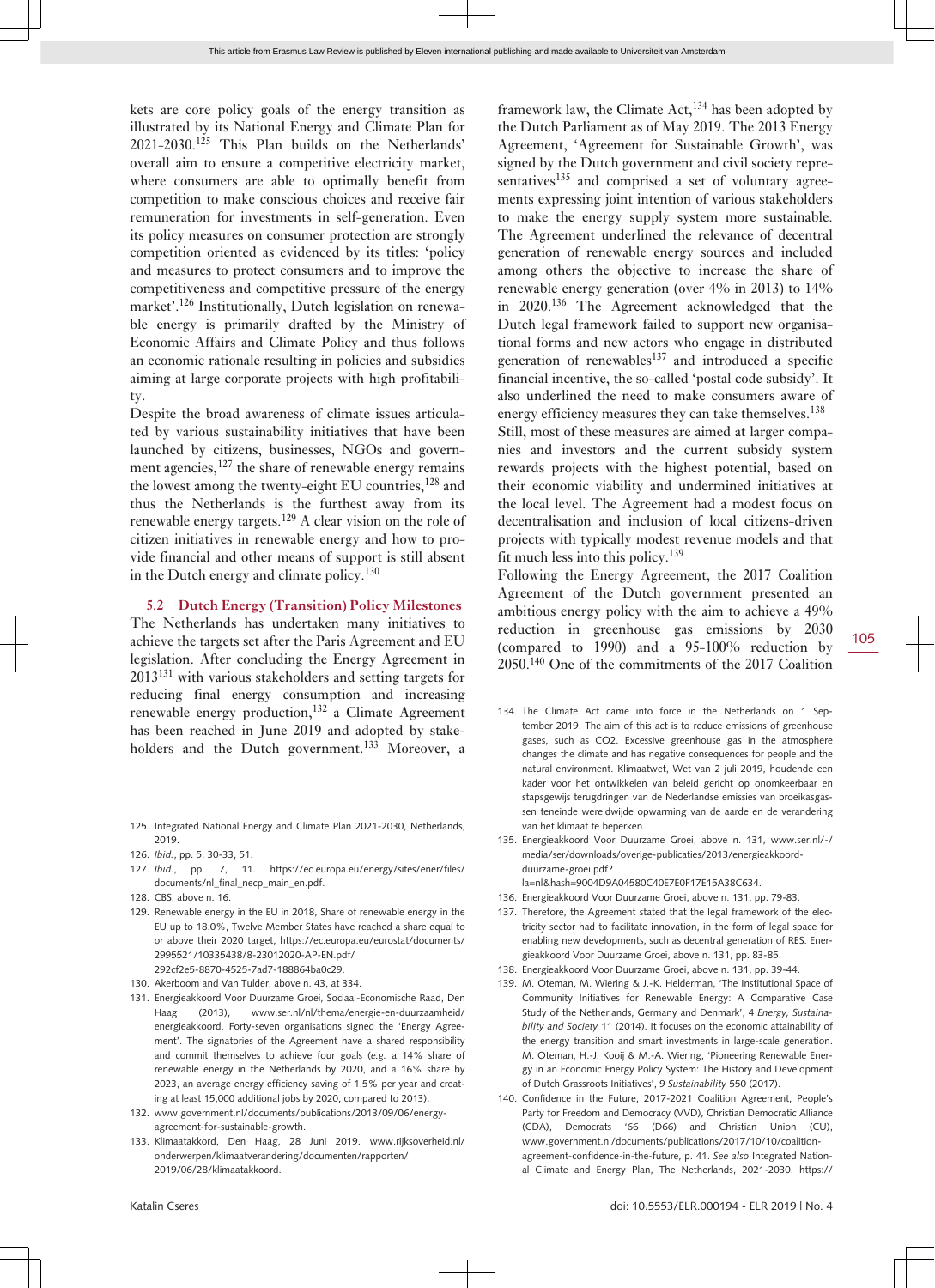kets are core policy goals of the energy transition as illustrated by its National Energy and Climate Plan for  $2021-2030$ <sup>125</sup> This Plan builds on the Netherlands' overall aim to ensure a competitive electricity market, where consumers are able to optimally benefit from competition to make conscious choices and receive fair remuneration for investments in self-generation. Even its policy measures on consumer protection are strongly competition oriented as evidenced by its titles: 'policy and measures to protect consumers and to improve the competitiveness and competitive pressure of the energy market'.126 Institutionally, Dutch legislation on renewable energy is primarily drafted by the Ministry of Economic Affairs and Climate Policy and thus follows an economic rationale resulting in policies and subsidies aiming at large corporate projects with high profitability.

Despite the broad awareness of climate issues articulated by various sustainability initiatives that have been launched by citizens, businesses, NGOs and government agencies, $127$  the share of renewable energy remains the lowest among the twenty-eight EU countries,<sup>128</sup> and thus the Netherlands is the furthest away from its renewable energy targets.<sup>129</sup> A clear vision on the role of citizen initiatives in renewable energy and how to provide financial and other means of support is still absent in the Dutch energy and climate policy.<sup>130</sup>

**5.2 Dutch Energy (Transition) Policy Milestones**

The Netherlands has undertaken many initiatives to achieve the targets set after the Paris Agreement and EU legislation. After concluding the Energy Agreement in 2013131 with various stakeholders and setting targets for reducing final energy consumption and increasing renewable energy production,<sup>132</sup> a Climate Agreement has been reached in June 2019 and adopted by stakeholders and the Dutch government.<sup>133</sup> Moreover, a

- 125. Integrated National Energy and Climate Plan 2021-2030, Netherlands, 2019.
- 126. *Ibid.*, pp. 5, 30-33, 51.
- 127. *Ibid.*, pp. 7, 11. [https://ec.europa.eu/energy/sites/ener/files/](https://ec.europa.eu/energy/sites/ener/files/documents/nl_final_necp_main_en.pdf) [documents/nl\\_final\\_necp\\_main\\_en.pdf](https://ec.europa.eu/energy/sites/ener/files/documents/nl_final_necp_main_en.pdf).
- 128. CBS, above n. 16.
- 129. Renewable energy in the EU in 2018, Share of renewable energy in the EU up to 18.0%, Twelve Member States have reached a share equal to or above their 2020 target, [https://ec.europa.eu/eurostat/documents/](https://ec.europa.eu/eurostat/documents/2995521/10335438/8-23012020-AP-EN.pdf/292cf2e5-8870-4525-7ad7-188864ba0c29) [2995521/10335438/8-23012020-AP-EN.pdf/](https://ec.europa.eu/eurostat/documents/2995521/10335438/8-23012020-AP-EN.pdf/292cf2e5-8870-4525-7ad7-188864ba0c29)
- [292cf2e5-8870-4525-7ad7-188864ba0c29.](https://ec.europa.eu/eurostat/documents/2995521/10335438/8-23012020-AP-EN.pdf/292cf2e5-8870-4525-7ad7-188864ba0c29)
- 130. Akerboom and Van Tulder, above n. 43, at 334.
- 131. Energieakkoord Voor Duurzame Groei, Sociaal-Economische Raad, Den Haag (2013), [www.ser.nl/nl/thema/energie-en-duurzaamheid/](http://www.ser.nl/nl/thema/energie-en-duurzaamheid/energieakkoord) [energieakkoord](http://www.ser.nl/nl/thema/energie-en-duurzaamheid/energieakkoord). Forty-seven organisations signed the 'Energy Agreement'. The signatories of the Agreement have a shared responsibility and commit themselves to achieve four goals (*e.g.* a 14% share of renewable energy in the Netherlands by 2020, and a 16% share by 2023, an average energy efficiency saving of 1.5% per year and creating at least 15,000 additional jobs by 2020, compared to 2013).
- 132. [www.government.nl/documents/publications/2013/09/06/energy](http://www.government.nl/documents/publications/2013/09/06/energy-agreement-for-sustainable-growth)[agreement-for-sustainable-growth](http://www.government.nl/documents/publications/2013/09/06/energy-agreement-for-sustainable-growth).
- 133. Klimaatakkord, Den Haag, 28 Juni 2019. [www.rijksoverheid.nl/](http://www.rijksoverheid.nl/onderwerpen/klimaatverandering/documenten/rapporten/2019/06/28/klimaatakkoord) [onderwerpen/klimaatverandering/documenten/rapporten/](http://www.rijksoverheid.nl/onderwerpen/klimaatverandering/documenten/rapporten/2019/06/28/klimaatakkoord) [2019/06/28/klimaatakkoord](http://www.rijksoverheid.nl/onderwerpen/klimaatverandering/documenten/rapporten/2019/06/28/klimaatakkoord).

framework law, the Climate  $Act$ ,  $^{134}$  has been adopted by the Dutch Parliament as of May 2019. The 2013 Energy Agreement, 'Agreement for Sustainable Growth', was signed by the Dutch government and civil society representatives<sup>135</sup> and comprised a set of voluntary agreements expressing joint intention of various stakeholders to make the energy supply system more sustainable. The Agreement underlined the relevance of decentral generation of renewable energy sources and included among others the objective to increase the share of renewable energy generation (over 4% in 2013) to 14% in 2020.<sup>136</sup> The Agreement acknowledged that the Dutch legal framework failed to support new organisational forms and new actors who engage in distributed generation of renewables $137$  and introduced a specific financial incentive, the so-called 'postal code subsidy'. It also underlined the need to make consumers aware of energy efficiency measures they can take themselves.<sup>138</sup>

Still, most of these measures are aimed at larger companies and investors and the current subsidy system rewards projects with the highest potential, based on their economic viability and undermined initiatives at the local level. The Agreement had a modest focus on decentralisation and inclusion of local citizens-driven projects with typically modest revenue models and that fit much less into this policy.<sup>139</sup>

Following the Energy Agreement, the 2017 Coalition Agreement of the Dutch government presented an ambitious energy policy with the aim to achieve a 49% reduction in greenhouse gas emissions by 2030 (compared to 1990) and a 95-100% reduction by 2050.140 One of the commitments of the 2017 Coalition

- 134. The Climate Act came into force in the Netherlands on 1 September 2019. The aim of this act is to reduce emissions of greenhouse gases, such as CO2. Excessive greenhouse gas in the atmosphere changes the climate and has negative consequences for people and the natural environment. Klimaatwet, Wet van 2 juli 2019, houdende een kader voor het ontwikkelen van beleid gericht op onomkeerbaar en stapsgewijs terugdringen van de Nederlandse emissies van broeikasgassen teneinde wereldwijde opwarming van de aarde en de verandering van het klimaat te beperken.
- 135. Energieakkoord Voor Duurzame Groei, above n. 131, [www.ser.nl/-/](http://www.ser.nl/-/media/ser/downloads/overige-publicaties/2013/energieakkoord-duurzame-groei.pdf?la=nl&hash=9004D9A04580C40E7E0F17E15A38C634) [media/ser/downloads/overige-publicaties/2013/energieakkoord](http://www.ser.nl/-/media/ser/downloads/overige-publicaties/2013/energieakkoord-duurzame-groei.pdf?la=nl&hash=9004D9A04580C40E7E0F17E15A38C634)[duurzame-groei.pdf?](http://www.ser.nl/-/media/ser/downloads/overige-publicaties/2013/energieakkoord-duurzame-groei.pdf?la=nl&hash=9004D9A04580C40E7E0F17E15A38C634)
	- [la=nl&hash=9004D9A04580C40E7E0F17E15A38C634](http://www.ser.nl/-/media/ser/downloads/overige-publicaties/2013/energieakkoord-duurzame-groei.pdf?la=nl&hash=9004D9A04580C40E7E0F17E15A38C634).
- 136. Energieakkoord Voor Duurzame Groei, above n. 131, pp. 79-83.
- 137. Therefore, the Agreement stated that the legal framework of the electricity sector had to facilitate innovation, in the form of legal space for enabling new developments, such as decentral generation of RES. Energieakkoord Voor Duurzame Groei, above n. 131, pp. 83-85.
- 138. Energieakkoord Voor Duurzame Groei, above n. 131, pp. 39-44.
- 139. M. Oteman, M. Wiering & J.-K. Helderman, 'The Institutional Space of Community Initiatives for Renewable Energy: A Comparative Case Study of the Netherlands, Germany and Denmark', 4 *Energy, Sustainability and Society* 11 (2014). It focuses on the economic attainability of the energy transition and smart investments in large-scale generation. M. Oteman, H.-J. Kooij & M.-A. Wiering, 'Pioneering Renewable Energy in an Economic Energy Policy System: The History and Development of Dutch Grassroots Initiatives', 9 *Sustainability* 550 (2017).
- 140. Confidence in the Future, 2017-2021 Coalition Agreement, People's Party for Freedom and Democracy (VVD), Christian Democratic Alliance (CDA), Democrats '66 (D66) and Christian Union (CU), [www.government.nl/documents/publications/2017/10/10/coalition](http://www.government.nl/documents/publications/2017/10/10/coalition-agreement-confidence-in-the-future)[agreement-confidence-in-the-future](http://www.government.nl/documents/publications/2017/10/10/coalition-agreement-confidence-in-the-future), p. 41. *See also* Integrated National Climate and Energy Plan, The Netherlands, 2021-2030. [https://](https://ec.europa.eu/energy/sites/ener/files/documents/nl_final_necp_main_en.pdf)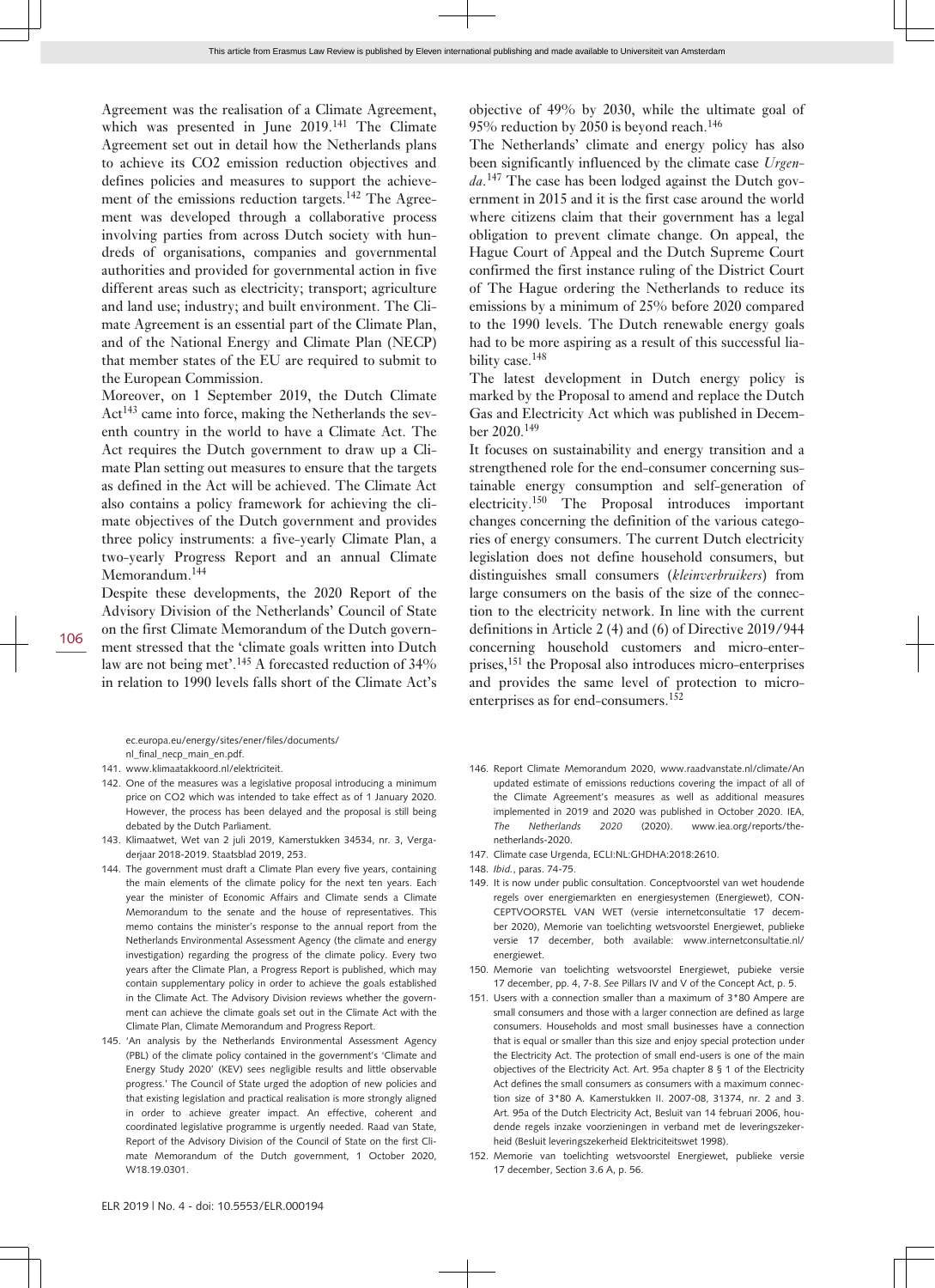Agreement was the realisation of a Climate Agreement, which was presented in June 2019.<sup>141</sup> The Climate Agreement set out in detail how the Netherlands plans to achieve its CO2 emission reduction objectives and defines policies and measures to support the achievement of the emissions reduction targets.<sup>142</sup> The Agreement was developed through a collaborative process involving parties from across Dutch society with hundreds of organisations, companies and governmental authorities and provided for governmental action in five different areas such as electricity; transport; agriculture and land use; industry; and built environment. The Climate Agreement is an essential part of the Climate Plan, and of the National Energy and Climate Plan (NECP) that member states of the EU are required to submit to the European Commission.

Moreover, on 1 September 2019, the Dutch Climate Act<sup>143</sup> came into force, making the Netherlands the seventh country in the world to have a Climate Act. The Act requires the Dutch government to draw up a Climate Plan setting out measures to ensure that the targets as defined in the Act will be achieved. The Climate Act also contains a policy framework for achieving the climate objectives of the Dutch government and provides three policy instruments: a five-yearly Climate Plan, a two-yearly Progress Report and an annual Climate Memorandum.<sup>144</sup>

Despite these developments, the 2020 Report of the Advisory Division of the Netherlands' Council of State on the first Climate Memorandum of the Dutch government stressed that the 'climate goals written into Dutch law are not being met'.<sup>145</sup> A forecasted reduction of  $34\%$ in relation to 1990 levels falls short of the Climate Act's

[ec.europa.eu/energy/sites/ener/files/documents/](https://ec.europa.eu/energy/sites/ener/files/documents/nl_final_necp_main_en.pdf) [nl\\_final\\_necp\\_main\\_en.pdf](https://ec.europa.eu/energy/sites/ener/files/documents/nl_final_necp_main_en.pdf).

141. [www.klimaatakkoord.nl/elektriciteit](http://www.klimaatakkoord.nl/elektriciteit).

- 142. One of the measures was a legislative proposal introducing a minimum price on CO2 which was intended to take effect as of 1 January 2020. However, the process has been delayed and the proposal is still being debated by the Dutch Parliament.
- 143. Klimaatwet, Wet van 2 juli 2019, Kamerstukken 34534, nr. 3, Vergaderjaar 2018-2019. Staatsblad 2019, 253.
- 144. The government must draft a Climate Plan every five years, containing the main elements of the climate policy for the next ten years. Each year the minister of Economic Affairs and Climate sends a Climate Memorandum to the senate and the house of representatives. This memo contains the minister's response to the annual report from the Netherlands Environmental Assessment Agency (the climate and energy investigation) regarding the progress of the climate policy. Every two years after the Climate Plan, a Progress Report is published, which may contain supplementary policy in order to achieve the goals established in the Climate Act. The Advisory Division reviews whether the government can achieve the climate goals set out in the Climate Act with the Climate Plan, Climate Memorandum and Progress Report.
- 145. 'An analysis by the Netherlands Environmental Assessment Agency (PBL) of the climate policy contained in the government's 'Climate and Energy Study 2020' (KEV) sees negligible results and little observable progress.' The Council of State urged the adoption of new policies and that existing legislation and practical realisation is more strongly aligned in order to achieve greater impact. An effective, coherent and coordinated legislative programme is urgently needed. Raad van State, Report of the Advisory Division of the Council of State on the first Climate Memorandum of the Dutch government, 1 October 2020, W18.19.0301.

objective of 49% by 2030, while the ultimate goal of 95% reduction by 2050 is beyond reach.<sup>146</sup>

The Netherlands' climate and energy policy has also been significantly influenced by the climate case *Urgenda.*147 The case has been lodged against the Dutch government in 2015 and it is the first case around the world where citizens claim that their government has a legal obligation to prevent climate change. On appeal, the Hague Court of Appeal and the Dutch Supreme Court confirmed the first instance ruling of the District Court of The Hague ordering the Netherlands to reduce its emissions by a minimum of 25% before 2020 compared to the 1990 levels. The Dutch renewable energy goals had to be more aspiring as a result of this successful liability case.<sup>148</sup>

The latest development in Dutch energy policy is marked by the Proposal to amend and replace the Dutch Gas and Electricity Act which was published in December 2020.<sup>149</sup>

It focuses on sustainability and energy transition and a strengthened role for the end-consumer concerning sustainable energy consumption and self-generation of electricity.<sup>150</sup> The Proposal introduces important changes concerning the definition of the various categories of energy consumers. The current Dutch electricity legislation does not define household consumers, but distinguishes small consumers (*kleinverbruikers*) from large consumers on the basis of the size of the connection to the electricity network. In line with the current definitions in Article 2 (4) and (6) of Directive 2019/944 concerning household customers and micro-enterprises,151 the Proposal also introduces micro-enterprises and provides the same level of protection to microenterprises as for end-consumers.<sup>152</sup>

- 146. Report Climate Memorandum 2020, [www.raadvanstate.nl/climate/An](http://www.raadvanstate.nl/climate/An) updated estimate of emissions reductions covering the impact of all of the Climate Agreement's measures as well as additional measures implemented in 2019 and 2020 was published in October 2020. IEA, *The Netherlands 2020* (2020). [www.iea.org/reports/the](http://www.iea.org/reports/the-netherlands-2020)[netherlands-2020](http://www.iea.org/reports/the-netherlands-2020).
- 147. Climate case Urgenda, ECLI:NL:GHDHA:2018:2610.
- 148. *Ibid.*, paras. 74-75.
- 149. It is now under public consultation. Conceptvoorstel van wet houdende regels over energiemarkten en energiesystemen (Energiewet), CON-CEPTVOORSTEL VAN WET (versie internetconsultatie 17 december 2020), Memorie van toelichting wetsvoorstel Energiewet, publieke versie 17 december, both available: [www.internetconsultatie.nl/](http://www.internetconsultatie.nl/energiewet) [energiewet.](http://www.internetconsultatie.nl/energiewet)
- 150. Memorie van toelichting wetsvoorstel Energiewet, pubieke versie 17 december, pp. 4, 7-8. *See* Pillars IV and V of the Concept Act, p. 5.
- 151. Users with a connection smaller than a maximum of 3\*80 Ampere are small consumers and those with a larger connection are defined as large consumers. Households and most small businesses have a connection that is equal or smaller than this size and enjoy special protection under the Electricity Act. The protection of small end-users is one of the main objectives of the Electricity Act. Art. 95a chapter 8 § 1 of the Electricity Act defines the small consumers as consumers with a maximum connection size of 3\*80 A. Kamerstukken II. 2007-08, 31374, nr. 2 and 3. Art. 95a of the Dutch Electricity Act, Besluit van 14 februari 2006, houdende regels inzake voorzieningen in verband met de leveringszekerheid (Besluit leveringszekerheid Elektriciteitswet 1998).
- 152. Memorie van toelichting wetsvoorstel Energiewet, publieke versie 17 december, Section 3.6 A, p. 56.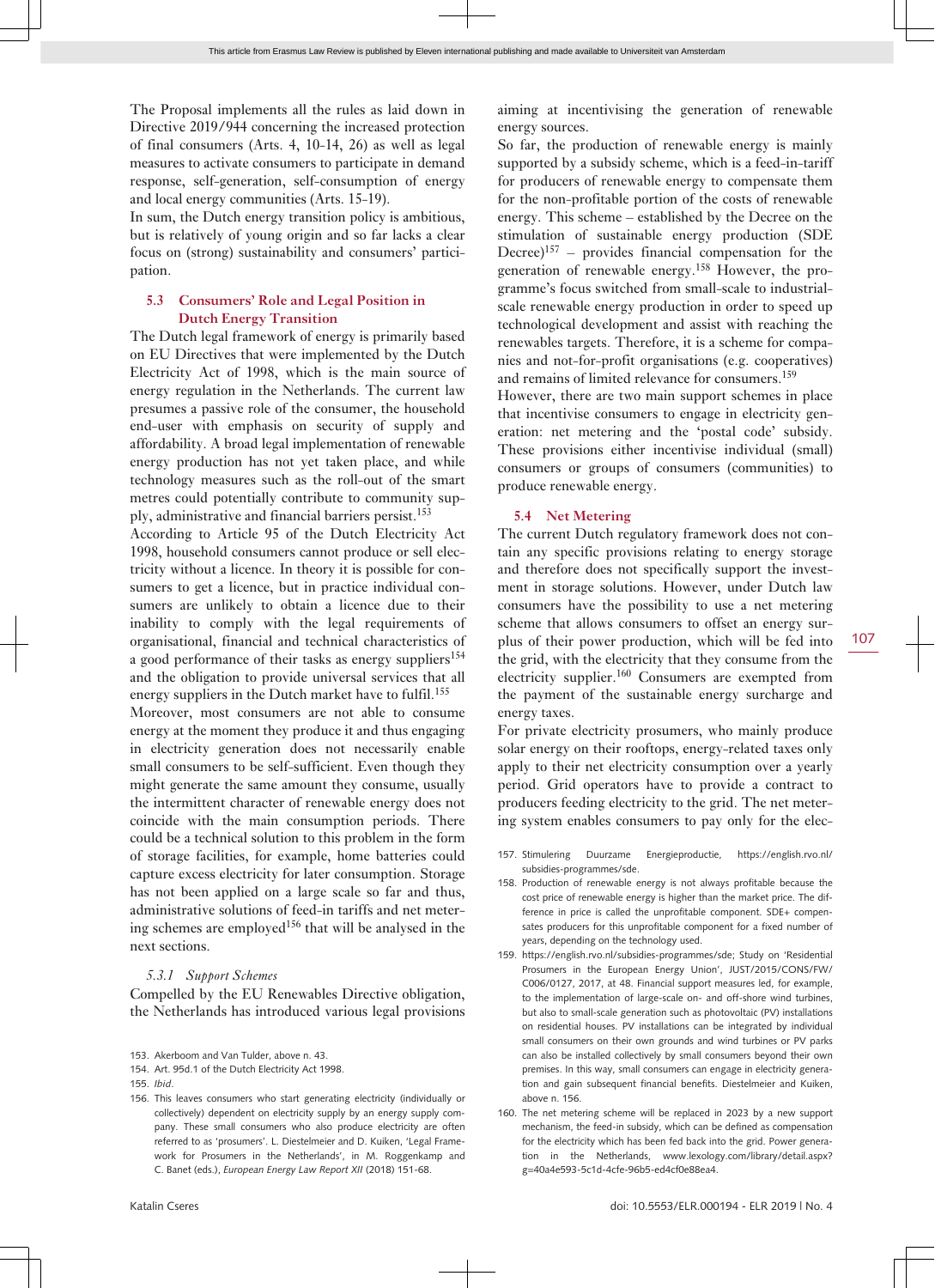The Proposal implements all the rules as laid down in Directive 2019/944 concerning the increased protection of final consumers (Arts. 4, 10-14, 26) as well as legal measures to activate consumers to participate in demand response, self-generation, self-consumption of energy and local energy communities (Arts. 15-19).

In sum, the Dutch energy transition policy is ambitious, but is relatively of young origin and so far lacks a clear focus on (strong) sustainability and consumers' participation.

#### **5.3 Consumers' Role and Legal Position in Dutch Energy Transition**

The Dutch legal framework of energy is primarily based on EU Directives that were implemented by the Dutch Electricity Act of 1998, which is the main source of energy regulation in the Netherlands. The current law presumes a passive role of the consumer, the household end-user with emphasis on security of supply and affordability. A broad legal implementation of renewable energy production has not yet taken place, and while technology measures such as the roll-out of the smart metres could potentially contribute to community supply, administrative and financial barriers persist.<sup>153</sup>

According to Article 95 of the Dutch Electricity Act 1998, household consumers cannot produce or sell electricity without a licence. In theory it is possible for consumers to get a licence, but in practice individual consumers are unlikely to obtain a licence due to their inability to comply with the legal requirements of organisational, financial and technical characteristics of a good performance of their tasks as energy suppliers<sup>154</sup> and the obligation to provide universal services that all energy suppliers in the Dutch market have to fulfil.<sup>155</sup>

Moreover, most consumers are not able to consume energy at the moment they produce it and thus engaging in electricity generation does not necessarily enable small consumers to be self-sufficient. Even though they might generate the same amount they consume, usually the intermittent character of renewable energy does not coincide with the main consumption periods. There could be a technical solution to this problem in the form of storage facilities, for example, home batteries could capture excess electricity for later consumption. Storage has not been applied on a large scale so far and thus, administrative solutions of feed-in tariffs and net metering schemes are employed<sup>156</sup> that will be analysed in the next sections.

#### *5.3.1 Support Schemes*

Compelled by the EU Renewables Directive obligation, the Netherlands has introduced various legal provisions

156. This leaves consumers who start generating electricity (individually or collectively) dependent on electricity supply by an energy supply company. These small consumers who also produce electricity are often referred to as 'prosumers'. L. Diestelmeier and D. Kuiken, 'Legal Framework for Prosumers in the Netherlands', in M. Roggenkamp and C. Banet (eds.), *European Energy Law Report XII* (2018) 151-68.

aiming at incentivising the generation of renewable energy sources.

So far, the production of renewable energy is mainly supported by a subsidy scheme, which is a feed-in-tariff for producers of renewable energy to compensate them for the non-profitable portion of the costs of renewable energy. This scheme – established by the Decree on the stimulation of sustainable energy production (SDE Decree)<sup>157</sup> – provides financial compensation for the generation of renewable energy.158 However, the programme's focus switched from small-scale to industrialscale renewable energy production in order to speed up technological development and assist with reaching the renewables targets. Therefore, it is a scheme for companies and not-for-profit organisations (e.g. cooperatives) and remains of limited relevance for consumers.<sup>159</sup>

However, there are two main support schemes in place that incentivise consumers to engage in electricity generation: net metering and the 'postal code' subsidy. These provisions either incentivise individual (small) consumers or groups of consumers (communities) to produce renewable energy.

#### **5.4 Net Metering**

The current Dutch regulatory framework does not contain any specific provisions relating to energy storage and therefore does not specifically support the investment in storage solutions. However, under Dutch law consumers have the possibility to use a net metering scheme that allows consumers to offset an energy surplus of their power production, which will be fed into the grid, with the electricity that they consume from the electricity supplier.<sup>160</sup> Consumers are exempted from the payment of the sustainable energy surcharge and energy taxes.

For private electricity prosumers, who mainly produce solar energy on their rooftops, energy-related taxes only apply to their net electricity consumption over a yearly period. Grid operators have to provide a contract to producers feeding electricity to the grid. The net metering system enables consumers to pay only for the elec-

- 157. Stimulering Duurzame Energieproductie, [https://english.rvo.nl/](https://english.rvo.nl/subsidies-programmes/sde) [subsidies-programmes/sde](https://english.rvo.nl/subsidies-programmes/sde).
- 158. Production of renewable energy is not always profitable because the cost price of renewable energy is higher than the market price. The difference in price is called the unprofitable component. SDE+ compensates producers for this unprofitable component for a fixed number of years, depending on the technology used.
- 159. [https://english.rvo.nl/subsidies-programmes/sde;](https://english.rvo.nl/subsidies-programmes/sde) Study on 'Residential Prosumers in the European Energy Union', JUST/2015/CONS/FW/ C006/0127, 2017, at 48. Financial support measures led, for example, to the implementation of large-scale on- and off-shore wind turbines, but also to small-scale generation such as photovoltaic (PV) installations on residential houses. PV installations can be integrated by individual small consumers on their own grounds and wind turbines or PV parks can also be installed collectively by small consumers beyond their own premises. In this way, small consumers can engage in electricity generation and gain subsequent financial benefits. Diestelmeier and Kuiken, above n. 156.
- 160. The net metering scheme will be replaced in 2023 by a new support mechanism, the feed-in subsidy, which can be defined as compensation for the electricity which has been fed back into the grid. Power generation in the Netherlands, [www.lexology.com/library/detail.aspx?](http://www.lexology.com/library/detail.aspx?g=40a4e593-5c1d-4cfe-96b5-ed4cf0e88ea4) [g=40a4e593-5c1d-4cfe-96b5-ed4cf0e88ea4](http://www.lexology.com/library/detail.aspx?g=40a4e593-5c1d-4cfe-96b5-ed4cf0e88ea4).

<sup>153.</sup> Akerboom and Van Tulder, above n. 43.

<sup>154.</sup> Art. 95d.1 of the Dutch Electricity Act 1998.

<sup>155.</sup> *Ibid*.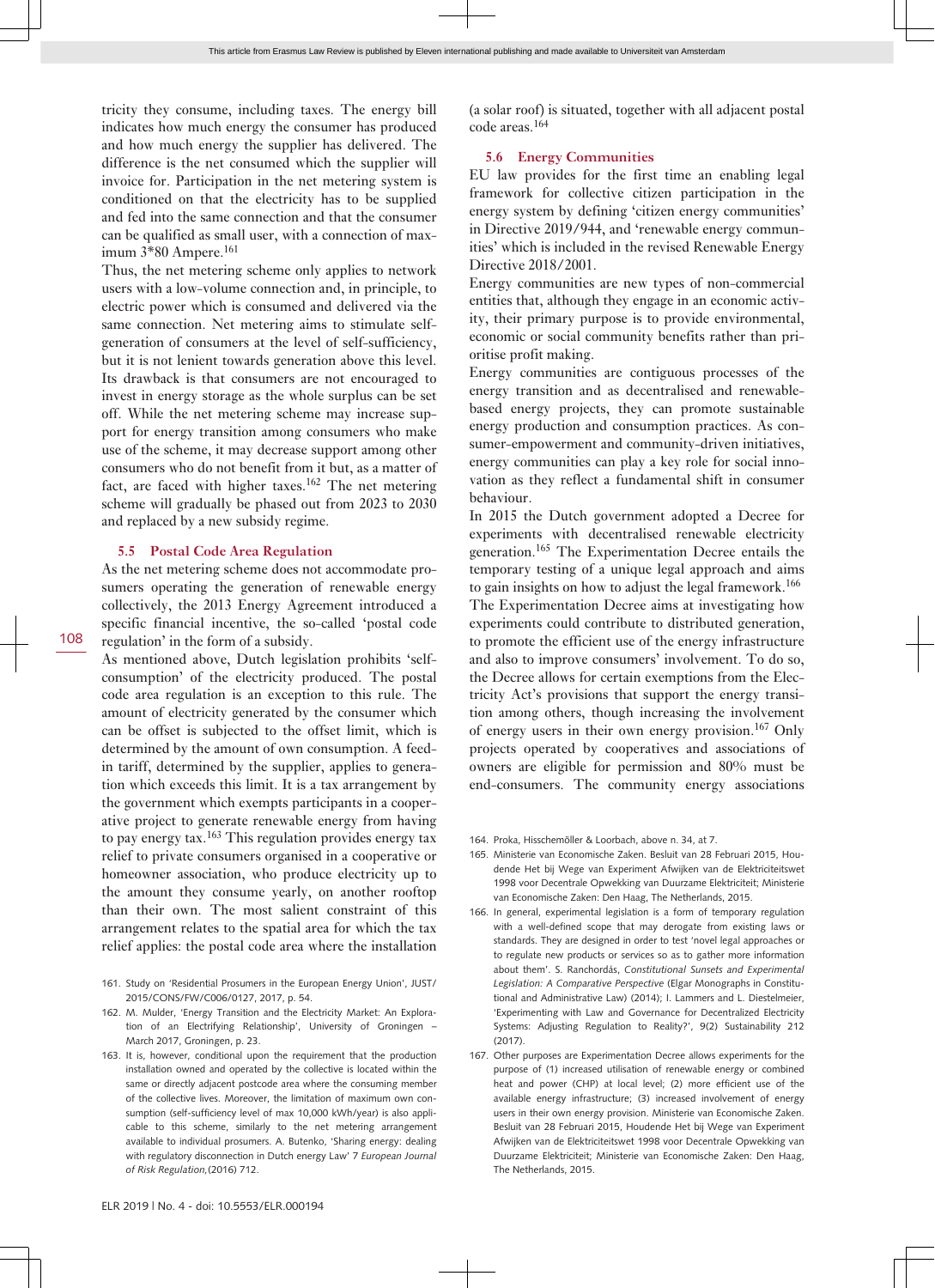tricity they consume, including taxes. The energy bill indicates how much energy the consumer has produced and how much energy the supplier has delivered. The difference is the net consumed which the supplier will invoice for. Participation in the net metering system is conditioned on that the electricity has to be supplied and fed into the same connection and that the consumer can be qualified as small user, with a connection of maximum 3\*80 Ampere.<sup>161</sup>

Thus, the net metering scheme only applies to network users with a low-volume connection and, in principle, to electric power which is consumed and delivered via the same connection. Net metering aims to stimulate selfgeneration of consumers at the level of self-sufficiency, but it is not lenient towards generation above this level. Its drawback is that consumers are not encouraged to invest in energy storage as the whole surplus can be set off. While the net metering scheme may increase support for energy transition among consumers who make use of the scheme, it may decrease support among other consumers who do not benefit from it but, as a matter of fact, are faced with higher taxes.<sup>162</sup> The net metering scheme will gradually be phased out from 2023 to 2030 and replaced by a new subsidy regime.

#### **5.5 Postal Code Area Regulation**

As the net metering scheme does not accommodate prosumers operating the generation of renewable energy collectively, the 2013 Energy Agreement introduced a specific financial incentive, the so-called 'postal code regulation' in the form of a subsidy.

As mentioned above, Dutch legislation prohibits 'selfconsumption' of the electricity produced. The postal code area regulation is an exception to this rule. The amount of electricity generated by the consumer which can be offset is subjected to the offset limit, which is determined by the amount of own consumption. A feedin tariff, determined by the supplier, applies to generation which exceeds this limit. It is a tax arrangement by the government which exempts participants in a cooperative project to generate renewable energy from having to pay energy tax.<sup>163</sup> This regulation provides energy tax relief to private consumers organised in a cooperative or homeowner association, who produce electricity up to the amount they consume yearly, on another rooftop than their own. The most salient constraint of this arrangement relates to the spatial area for which the tax relief applies: the postal code area where the installation

- 161. Study on 'Residential Prosumers in the European Energy Union', JUST/ 2015/CONS/FW/C006/0127, 2017, p. 54.
- 162. M. Mulder, 'Energy Transition and the Electricity Market: An Exploration of an Electrifying Relationship', University of Groningen – March 2017, Groningen, p. 23.
- 163. It is, however, conditional upon the requirement that the production installation owned and operated by the collective is located within the same or directly adjacent postcode area where the consuming member of the collective lives. Moreover, the limitation of maximum own consumption (self-sufficiency level of max 10,000 kWh/year) is also applicable to this scheme, similarly to the net metering arrangement available to individual prosumers. A. Butenko, 'Sharing energy: dealing with regulatory disconnection in Dutch energy Law' 7 *European Journal of Risk Regulation,*(2016) 712.

(a solar roof) is situated, together with all adjacent postal code areas.<sup>164</sup>

#### **5.6 Energy Communities**

EU law provides for the first time an enabling legal framework for collective citizen participation in the energy system by defining 'citizen energy communities' in Directive 2019/944, and 'renewable energy communities' which is included in the revised Renewable Energy Directive 2018/2001.

Energy communities are new types of non-commercial entities that, although they engage in an economic activity, their primary purpose is to provide environmental, economic or social community benefits rather than prioritise profit making.

Energy communities are contiguous processes of the energy transition and as decentralised and renewablebased energy projects, they can promote sustainable energy production and consumption practices. As consumer-empowerment and community-driven initiatives, energy communities can play a key role for social innovation as they reflect a fundamental shift in consumer behaviour.

In 2015 the Dutch government adopted a Decree for experiments with decentralised renewable electricity generation.165 The Experimentation Decree entails the temporary testing of a unique legal approach and aims to gain insights on how to adjust the legal framework.<sup>166</sup> The Experimentation Decree aims at investigating how experiments could contribute to distributed generation, to promote the efficient use of the energy infrastructure and also to improve consumers' involvement. To do so, the Decree allows for certain exemptions from the Electricity Act's provisions that support the energy transition among others, though increasing the involvement of energy users in their own energy provision.<sup>167</sup> Only projects operated by cooperatives and associations of owners are eligible for permission and 80% must be end-consumers. The community energy associations

- 165. Ministerie van Economische Zaken. Besluit van 28 Februari 2015, Houdende Het bij Wege van Experiment Afwijken van de Elektriciteitswet 1998 voor Decentrale Opwekking van Duurzame Elektriciteit; Ministerie van Economische Zaken: Den Haag, The Netherlands, 2015.
- 166. In general, experimental legislation is a form of temporary regulation with a well-defined scope that may derogate from existing laws or standards. They are designed in order to test 'novel legal approaches or to regulate new products or services so as to gather more information about them'. S. Ranchordás, *Constitutional Sunsets and Experimental Legislation: A Comparative Perspective* (Elgar Monographs in Constitutional and Administrative Law) (2014); I. Lammers and L. Diestelmeier, 'Experimenting with Law and Governance for Decentralized Electricity Systems: Adjusting Regulation to Reality?', 9(2) Sustainability 212  $(2017)$
- 167. Other purposes are Experimentation Decree allows experiments for the purpose of (1) increased utilisation of renewable energy or combined heat and power (CHP) at local level; (2) more efficient use of the available energy infrastructure; (3) increased involvement of energy users in their own energy provision. Ministerie van Economische Zaken. Besluit van 28 Februari 2015, Houdende Het bij Wege van Experiment Afwijken van de Elektriciteitswet 1998 voor Decentrale Opwekking van Duurzame Elektriciteit; Ministerie van Economische Zaken: Den Haag, The Netherlands, 2015.

<sup>164.</sup> Proka, Hisschemöller & Loorbach, above n. 34, at 7.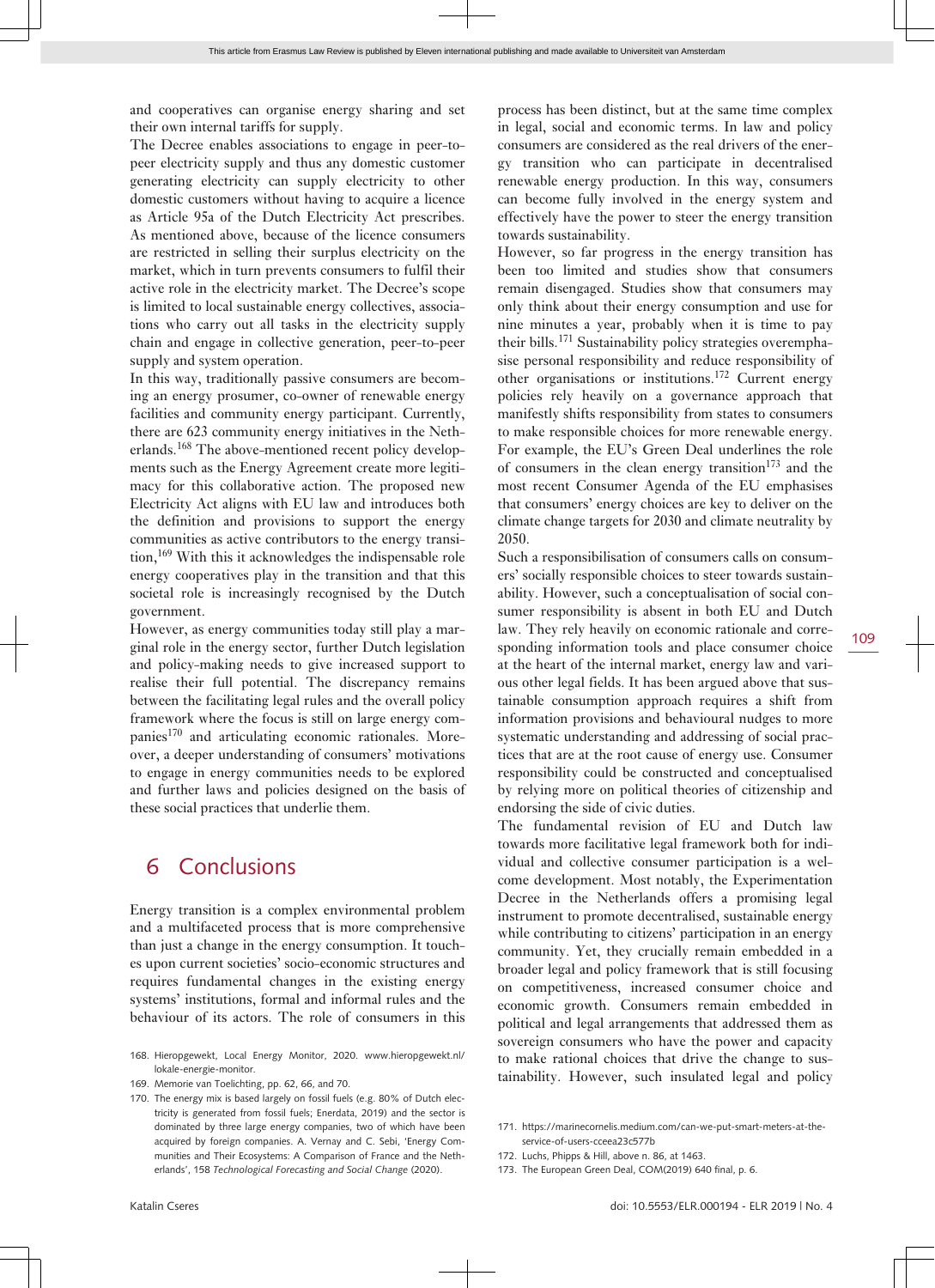and cooperatives can organise energy sharing and set their own internal tariffs for supply.

The Decree enables associations to engage in peer-topeer electricity supply and thus any domestic customer generating electricity can supply electricity to other domestic customers without having to acquire a licence as Article 95a of the Dutch Electricity Act prescribes. As mentioned above, because of the licence consumers are restricted in selling their surplus electricity on the market, which in turn prevents consumers to fulfil their active role in the electricity market. The Decree's scope is limited to local sustainable energy collectives, associations who carry out all tasks in the electricity supply chain and engage in collective generation, peer-to-peer supply and system operation.

In this way, traditionally passive consumers are becoming an energy prosumer, co-owner of renewable energy facilities and community energy participant. Currently, there are 623 community energy initiatives in the Netherlands.<sup>168</sup> The above-mentioned recent policy developments such as the Energy Agreement create more legitimacy for this collaborative action. The proposed new Electricity Act aligns with EU law and introduces both the definition and provisions to support the energy communities as active contributors to the energy transition,<sup>169</sup> With this it acknowledges the indispensable role energy cooperatives play in the transition and that this societal role is increasingly recognised by the Dutch government.

However, as energy communities today still play a marginal role in the energy sector, further Dutch legislation and policy-making needs to give increased support to realise their full potential. The discrepancy remains between the facilitating legal rules and the overall policy framework where the focus is still on large energy companies<sup>170</sup> and articulating economic rationales. Moreover, a deeper understanding of consumers' motivations to engage in energy communities needs to be explored and further laws and policies designed on the basis of these social practices that underlie them.

### 6 Conclusions

Energy transition is a complex environmental problem and a multifaceted process that is more comprehensive than just a change in the energy consumption. It touches upon current societies' socio-economic structures and requires fundamental changes in the existing energy systems' institutions, formal and informal rules and the behaviour of its actors. The role of consumers in this However, so far progress in the energy transition has been too limited and studies show that consumers remain disengaged. Studies show that consumers may only think about their energy consumption and use for nine minutes a year, probably when it is time to pay their bills.<sup>171</sup> Sustainability policy strategies overemphasise personal responsibility and reduce responsibility of other organisations or institutions.<sup>172</sup> Current energy policies rely heavily on a governance approach that manifestly shifts responsibility from states to consumers to make responsible choices for more renewable energy. For example, the EU's Green Deal underlines the role of consumers in the clean energy transition $173$  and the most recent Consumer Agenda of the EU emphasises that consumers' energy choices are key to deliver on the climate change targets for 2030 and climate neutrality by 2050.

Such a responsibilisation of consumers calls on consumers' socially responsible choices to steer towards sustainability. However, such a conceptualisation of social consumer responsibility is absent in both EU and Dutch law. They rely heavily on economic rationale and corresponding information tools and place consumer choice at the heart of the internal market, energy law and various other legal fields. It has been argued above that sustainable consumption approach requires a shift from information provisions and behavioural nudges to more systematic understanding and addressing of social practices that are at the root cause of energy use. Consumer responsibility could be constructed and conceptualised by relying more on political theories of citizenship and endorsing the side of civic duties.

The fundamental revision of EU and Dutch law towards more facilitative legal framework both for individual and collective consumer participation is a welcome development. Most notably, the Experimentation Decree in the Netherlands offers a promising legal instrument to promote decentralised, sustainable energy while contributing to citizens' participation in an energy community. Yet, they crucially remain embedded in a broader legal and policy framework that is still focusing on competitiveness, increased consumer choice and economic growth. Consumers remain embedded in political and legal arrangements that addressed them as sovereign consumers who have the power and capacity to make rational choices that drive the change to sustainability. However, such insulated legal and policy

<sup>168.</sup> Hieropgewekt, Local Energy Monitor, 2020. [www.hieropgewekt.nl/](http://www.hieropgewekt.nl/lokale-energie-monitor) [lokale-energie-monitor](http://www.hieropgewekt.nl/lokale-energie-monitor).

<sup>169.</sup> Memorie van Toelichting, pp. 62, 66, and 70.

<sup>170.</sup> The energy mix is based largely on fossil fuels (e.g. 80% of Dutch electricity is generated from fossil fuels; Enerdata, 2019) and the sector is dominated by three large energy companies, two of which have been acquired by foreign companies. A. Vernay and C. Sebi, 'Energy Communities and Their Ecosystems: A Comparison of France and the Netherlands', 158 *Technological Forecasting and Social Change* (2020).

<sup>171.</sup> [https://marinecornelis.medium.com/can-we-put-smart-meters-at-the](https://marinecornelis.medium.com/can-we-put-smart-meters-at-the-service-of-users-cceea23c577b)[service-of-users-cceea23c577b](https://marinecornelis.medium.com/can-we-put-smart-meters-at-the-service-of-users-cceea23c577b)

<sup>172.</sup> Luchs, Phipps & Hill, above n. 86, at 1463.

<sup>173.</sup> The European Green Deal, COM(2019) 640 final, p. 6.